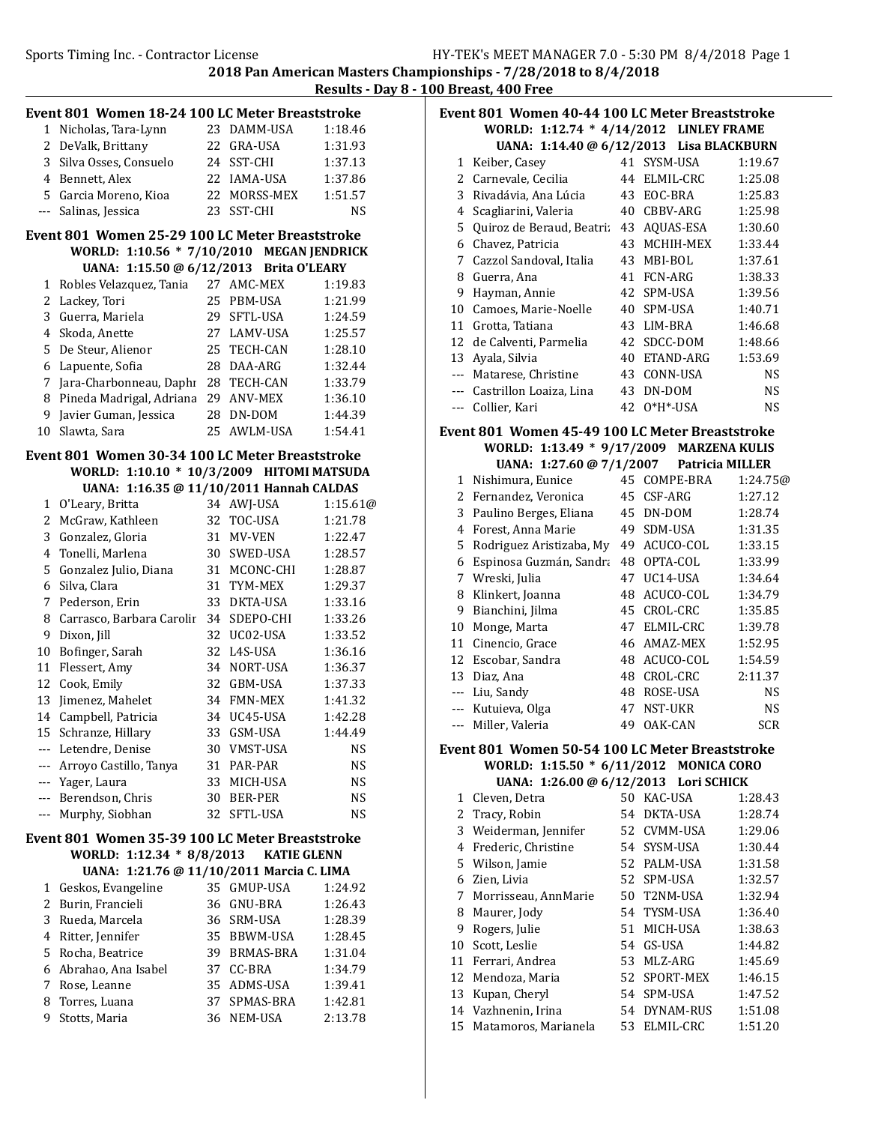2018 Pan American Masters Championships - 7/28/2018 to 8/4/2018 Results - Day 8 - 100 Breast, 400 Free

|        | Event 801 Women 18-24 100 LC Meter Breaststroke |    |                             |                    |
|--------|-------------------------------------------------|----|-----------------------------|--------------------|
|        | 1 Nicholas, Tara-Lynn                           |    | 23 DAMM-USA                 | 1:18.46            |
|        | 2 DeValk, Brittany                              |    | 22 GRA-USA                  | 1:31.93            |
| 3      | Silva Osses, Consuelo                           |    | 24 SST-CHI                  | 1:37.13            |
|        | 4 Bennett, Alex                                 |    | 22 IAMA-USA                 | 1:37.86            |
|        | 5 Garcia Moreno, Kioa                           | 22 | MORSS-MEX                   | 1:51.57            |
| ---    | Salinas, Jessica                                |    | 23 SST-CHI                  | NS                 |
|        | Event 801 Women 25-29 100 LC Meter Breaststroke |    |                             |                    |
|        | WORLD: 1:10.56 * 7/10/2010 MEGAN JENDRICK       |    |                             |                    |
|        | UANA: 1:15.50 @ 6/12/2013 Brita O'LEARY         |    |                             |                    |
| 1      | Robles Velazquez, Tania                         |    | 27 AMC-MEX                  | 1:19.83            |
| 2      | Lackey, Tori                                    | 25 | PBM-USA                     | 1:21.99            |
| 3      | Guerra, Mariela                                 |    | 29 SFTL-USA                 | 1:24.59            |
| 4      | Skoda, Anette                                   |    | 27 LAMV-USA                 | 1:25.57            |
| 5      | De Steur, Alienor                               | 25 | TECH-CAN                    | 1:28.10            |
| 6      | Lapuente, Sofia                                 | 28 | DAA-ARG                     | 1:32.44            |
| 7      | Jara-Charbonneau, Daphi                         | 28 | TECH-CAN                    | 1:33.79            |
| 8      | Pineda Madrigal, Adriana                        | 29 | <b>ANV-MEX</b>              | 1:36.10            |
| 9      | Javier Guman, Jessica                           | 28 | DN-DOM                      | 1:44.39            |
| 10     | Slawta, Sara                                    | 25 | AWLM-USA                    | 1:54.41            |
|        | Event 801 Women 30-34 100 LC Meter Breaststroke |    |                             |                    |
|        | WORLD: 1:10.10 * 10/3/2009 HITOMI MATSUDA       |    |                             |                    |
|        | UANA: 1:16.35 @ 11/10/2011 Hannah CALDAS        |    |                             |                    |
|        | 1 O'Leary, Britta                               |    | 34 AWJ-USA                  | 1:15.61@           |
| 2      | McGraw, Kathleen                                |    | 32 TOC-USA                  | 1:21.78            |
| 3      | Gonzalez, Gloria                                | 31 | MV-VEN                      | 1:22.47            |
| 4      | Tonelli, Marlena                                | 30 | SWED-USA                    | 1:28.57            |
| 5      | Gonzalez Julio, Diana                           |    | 31 MCONC-CHI                | 1:28.87            |
| 6      | Silva, Clara                                    | 31 | TYM-MEX                     | 1:29.37            |
| 7      | Pederson, Erin                                  | 33 | DKTA-USA                    | 1:33.16            |
| 8<br>9 | Carrasco, Barbara Carolir                       |    | 34 SDEPO-CHI<br>32 UC02-USA | 1:33.26            |
| 10     | Dixon, Jill                                     |    | 32 L4S-USA                  | 1:33.52            |
| 11     | Bofinger, Sarah<br>Flessert, Amy                | 34 | NORT-USA                    | 1:36.16<br>1:36.37 |
| 12     | Cook, Emily                                     |    | 32 GBM-USA                  | 1:37.33            |
| 13     | Jimenez, Mahelet                                |    | 34 FMN-MEX                  | 1:41.32            |
| 14     | Campbell, Patricia                              |    | 34 UC45-USA                 | 1:42.28            |
| 15     | Schranze, Hillary                               |    | 33 GSM-USA                  | 1:44.49            |
|        | --- Letendre, Denise                            |    | 30 VMST-USA                 | NS                 |
|        | --- Arroyo Castillo, Tanya                      |    | 31 PAR-PAR                  | <b>NS</b>          |
|        | --- Yager, Laura                                |    | 33 MICH-USA                 | NS                 |
|        | --- Berendson, Chris                            |    | 30 BER-PER                  | <b>NS</b>          |
|        | --- Murphy, Siobhan                             |    | 32 SFTL-USA                 | <b>NS</b>          |
|        | Event 801 Women 35-39 100 LC Meter Breaststroke |    |                             |                    |
|        | WORLD: 1:12.34 * 8/8/2013 KATIE GLENN           |    |                             |                    |
|        | UANA: 1:21.76 @ 11/10/2011 Marcia C. LIMA       |    |                             |                    |
|        | 1 Geskos, Evangeline                            |    | 35 GMUP-USA                 | 1:24.92            |
|        | 2 Burin, Francieli                              |    | 36 GNU-BRA                  | 1:26.43            |
| 3      | Rueda, Marcela                                  |    | 36 SRM-USA                  | 1:28.39            |
| 4      | Ritter, Jennifer                                |    | 35 BBWM-USA                 | 1:28.45            |
| 5      | Rocha, Beatrice                                 |    | 39 BRMAS-BRA                | 1:31.04            |
| 6      | Abrahao, Ana Isabel                             |    | 37 CC-BRA                   | 1:34.79            |
| 7      | Rose, Leanne                                    |    | 35 ADMS-USA                 | 1:39.41            |
| 8      | Torres, Luana                                   |    | 37 SPMAS-BRA                | 1:42.81            |
| 9      | Stotts, Maria                                   |    | 36 NEM-USA                  | 2:13.78            |
|        |                                                 |    |                             |                    |

| Event 801  Women 40-44 100 LC Meter Breaststroke |                                          |  |                                                                                                                                                                                                                                                                                                                                                                                      |
|--------------------------------------------------|------------------------------------------|--|--------------------------------------------------------------------------------------------------------------------------------------------------------------------------------------------------------------------------------------------------------------------------------------------------------------------------------------------------------------------------------------|
|                                                  | WORLD: 1:12.74 * 4/14/2012 LINLEY FRAME  |  |                                                                                                                                                                                                                                                                                                                                                                                      |
|                                                  | UANA: 1:14.40 @ 6/12/2013 Lisa BLACKBURN |  |                                                                                                                                                                                                                                                                                                                                                                                      |
| $1 \,$ $U_{\alpha}$ $\lambda_{\alpha}$ $\alpha$  |                                          |  | $\overline{A}$ $\overline{A}$ $\overline{C}$ $\overline{C}$ $\overline{A}$ $\overline{C}$ $\overline{C}$ $\overline{C}$ $\overline{A}$ $\overline{C}$ $\overline{C}$ $\overline{C}$ $\overline{C}$ $\overline{C}$ $\overline{C}$ $\overline{C}$ $\overline{C}$ $\overline{C}$ $\overline{C}$ $\overline{C}$ $\overline{C}$ $\overline{C}$ $\overline{C}$ $\overline{C}$ $\overline{$ |

| 1        | Keiber, Casey             | 41 | SYSM-USA       | 1:19.67   |
|----------|---------------------------|----|----------------|-----------|
|          | 2 Carnevale, Cecilia      | 44 | ELMIL-CRC      | 1:25.08   |
| 3        | Rivadávia, Ana Lúcia      | 43 | EOC-BRA        | 1:25.83   |
| 4        | Scagliarini, Valeria      | 40 | CBBV-ARG       | 1:25.98   |
| 5.       | Quiroz de Beraud, Beatri: | 43 | AQUAS-ESA      | 1:30.60   |
| 6        | Chavez, Patricia          | 43 | MCHIH-MEX      | 1:33.44   |
| 7        | Cazzol Sandoval, Italia   | 43 | MBI-BOL        | 1:37.61   |
| 8        | Guerra, Ana               | 41 | <b>FCN-ARG</b> | 1:38.33   |
| 9        | Hayman, Annie             |    | 42 SPM-USA     | 1:39.56   |
| 10       | Camoes, Marie-Noelle      | 40 | SPM-USA        | 1:40.71   |
| 11       | Grotta, Tatiana           | 43 | LIM-BRA        | 1:46.68   |
| 12       | de Calventi, Parmelia     | 42 | SDCC-DOM       | 1:48.66   |
| 13       | Ayala, Silvia             | 40 | ETAND-ARG      | 1:53.69   |
| $- - -$  | Matarese, Christine       | 43 | CONN-USA       | <b>NS</b> |
| $\cdots$ | Castrillon Loaiza, Lina   | 43 | DN-DOM         | <b>NS</b> |
| $\cdots$ | Collier, Kari             | 42 | $O*H*-USA$     | NS        |

### Event 801 Women 45-49 100 LC Meter Breaststroke WORLD: 1:13.49 \* 9/17/2009 MARZENA KULIS

|         | UANA: 1:27.60 @ 7/1/2007 Patricia MILLER |    |                 |          |
|---------|------------------------------------------|----|-----------------|----------|
| 1       | Nishimura, Eunice                        | 45 | COMPE-BRA       | 1:24.75@ |
| 2       | Fernandez, Veronica                      | 45 | CSF-ARG         | 1:27.12  |
| 3       | Paulino Berges, Eliana                   | 45 | DN-DOM          | 1:28.74  |
| 4       | Forest, Anna Marie                       | 49 | SDM-USA         | 1:31.35  |
| 5.      | Rodriguez Aristizaba, My                 | 49 | ACUCO-COL       | 1:33.15  |
| 6       | Espinosa Guzmán, Sandra                  | 48 | OPTA-COL        | 1:33.99  |
| 7       | Wreski, Julia                            | 47 | UC14-USA        | 1:34.64  |
| 8       | Klinkert, Joanna                         | 48 | ACUCO-COL       | 1:34.79  |
| 9       | Bianchini, Jilma                         | 45 | CROL-CRC        | 1:35.85  |
| 10      | Monge, Marta                             | 47 | ELMIL-CRC       | 1:39.78  |
| 11      | Cinencio, Grace                          | 46 | AMAZ-MEX        | 1:52.95  |
| 12      | Escobar, Sandra                          | 48 | ACUCO-COL       | 1:54.59  |
| 13      | Diaz, Ana                                | 48 | CROL-CRC        | 2:11.37  |
|         | Liu, Sandy                               | 48 | <b>ROSE-USA</b> | NS       |
|         | --- Kutuieva, Olga                       | 47 | NST-UKR         | NS       |
| $- - -$ | Miller, Valeria                          | 49 | OAK-CAN         | SCR      |

#### Event 801 Women 50-54 100 LC Meter Breaststroke WORLD: 1:15.50 \* 6/11/2012 MONICA CORO UANA: 1:26.00 @ 6/12/2013 Lori SCHICK

|    | $0.11111.$ 1.20.00 @ 0/12/2013 1011 30111011 |     |                 |         |
|----|----------------------------------------------|-----|-----------------|---------|
| 1. | Cleven, Detra                                | 50  | KAC-USA         | 1:28.43 |
| 2  | Tracy, Robin                                 | 54. | <b>DKTA-USA</b> | 1:28.74 |
| 3  | Weiderman, Jennifer                          |     | 52 CVMM-USA     | 1:29.06 |
| 4  | Frederic, Christine                          |     | 54 SYSM-USA     | 1:30.44 |
|    | 5 Wilson, Jamie                              |     | 52 PALM-USA     | 1:31.58 |
| 6  | Zien, Livia                                  |     | 52 SPM-USA      | 1:32.57 |
|    | 7 Morrisseau, AnnMarie                       |     | 50 T2NM-USA     | 1:32.94 |
| 8  | Maurer, Jody                                 |     | 54 TYSM-USA     | 1:36.40 |
| 9  | Rogers, Julie                                | 51  | MICH-USA        | 1:38.63 |
| 10 | Scott, Leslie                                |     | 54 GS-USA       | 1:44.82 |
| 11 | Ferrari, Andrea                              | 53. | MLZ-ARG         | 1:45.69 |
| 12 | Mendoza, Maria                               |     | 52 SPORT-MEX    | 1:46.15 |
| 13 | Kupan, Cheryl                                |     | 54 SPM-USA      | 1:47.52 |
|    | 14 Vazhnenin, Irina                          | 54  | DYNAM-RUS       | 1:51.08 |
| 15 | Matamoros, Marianela                         | 53  | ELMIL-CRC       | 1:51.20 |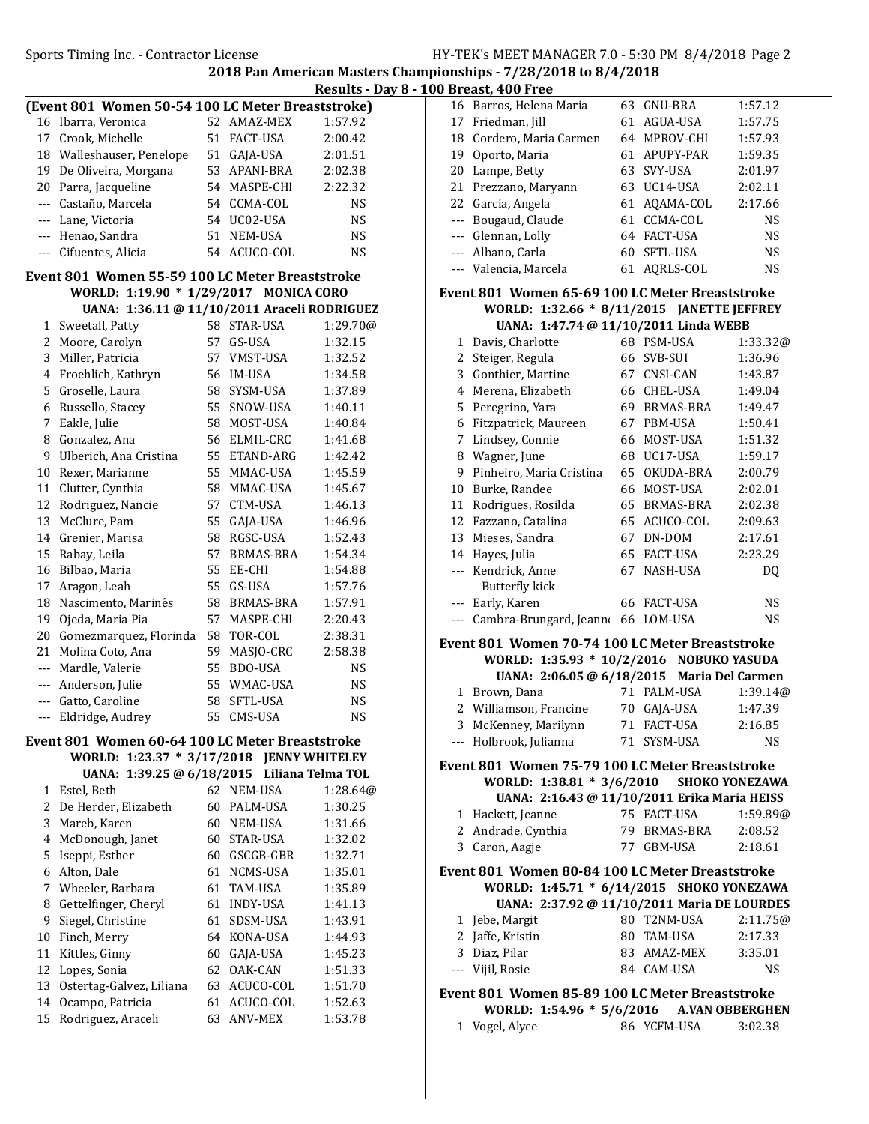Results - Day 8 - 100 Breast, 400 Free

| (Event 801 Women 50-54 100 LC Meter Breaststroke) |                                                 |    |                               |           |  |  |
|---------------------------------------------------|-------------------------------------------------|----|-------------------------------|-----------|--|--|
| 16                                                | Ibarra, Veronica                                |    | 52 AMAZ-MEX                   | 1:57.92   |  |  |
| 17                                                | Crook, Michelle                                 |    | 51 FACT-USA                   | 2:00.42   |  |  |
| 18                                                | Walleshauser, Penelope                          |    | 51 GAJA-USA                   | 2:01.51   |  |  |
| 19                                                | De Oliveira, Morgana                            |    | 53 APANI-BRA                  | 2:02.38   |  |  |
|                                                   | 20 Parra, Jacqueline                            |    | 54 MASPE-CHI                  | 2:22.32   |  |  |
|                                                   | --- Castaño, Marcela                            |    | 54 CCMA-COL                   | <b>NS</b> |  |  |
|                                                   | --- Lane, Victoria                              |    | 54 UC02-USA                   | <b>NS</b> |  |  |
|                                                   | --- Henao, Sandra                               |    | 51 NEM-USA                    | <b>NS</b> |  |  |
| $---$                                             | Cifuentes, Alicia                               | 54 | ACUCO-COL                     | NS        |  |  |
|                                                   | Event 801 Women 55-59 100 LC Meter Breaststroke |    |                               |           |  |  |
|                                                   |                                                 |    |                               |           |  |  |
|                                                   | WORLD: 1:19.90 * 1/29/2017 MONICA CORO          |    |                               |           |  |  |
|                                                   | UANA: 1:36.11 @ 11/10/2011 Araceli RODRIGUEZ    |    |                               |           |  |  |
| 1                                                 | Sweetall, Patty                                 |    | 58 STAR-USA                   | 1:29.70@  |  |  |
| 2                                                 | Moore, Carolyn                                  |    | 57 GS-USA                     | 1:32.15   |  |  |
| 3                                                 | Miller, Patricia                                |    | 57 VMST-USA                   | 1:32.52   |  |  |
|                                                   | 4 Froehlich, Kathryn                            |    | 56 IM-USA                     | 1:34.58   |  |  |
| 5                                                 | Groselle, Laura                                 |    | 58 SYSM-USA                   | 1:37.89   |  |  |
| 6                                                 | Russello, Stacey                                |    | 55 SNOW-USA                   | 1:40.11   |  |  |
| 7                                                 | Eakle, Julie                                    |    | 58 MOST-USA                   | 1:40.84   |  |  |
| 8                                                 | Gonzalez, Ana                                   |    | 56 ELMIL-CRC                  | 1:41.68   |  |  |
| 9                                                 | Ulberich, Ana Cristina                          |    | 55 ETAND-ARG                  | 1:42.42   |  |  |
| 10                                                | Rexer, Marianne                                 |    | 55 MMAC-USA                   | 1:45.59   |  |  |
| 11                                                | Clutter, Cynthia                                |    | 58 MMAC-USA                   | 1:45.67   |  |  |
| 12                                                | Rodriguez, Nancie                               |    | 57 CTM-USA                    | 1:46.13   |  |  |
| 13                                                | McClure, Pam                                    |    | 55 GAJA-USA                   | 1:46.96   |  |  |
| 14                                                | Grenier, Marisa                                 |    | 58 RGSC-USA                   | 1:52.43   |  |  |
| 15                                                | Rabay, Leila                                    |    | 57 BRMAS-BRA                  | 1:54.34   |  |  |
| 16                                                | Bilbao, Maria                                   |    | 55 EE-CHI                     | 1:54.88   |  |  |
| 17                                                | Aragon, Leah                                    |    | 55 GS-USA                     | 1:57.76   |  |  |
| 18                                                | Nascimento, Marinês                             |    | 58 BRMAS-BRA                  | 1:57.91   |  |  |
| 19                                                | Ojeda, Maria Pia                                |    | 57 MASPE-CHI                  | 2:20.43   |  |  |
| 20                                                | Gomezmarquez, Florinda                          |    | 58 TOR-COL                    | 2:38.31   |  |  |
| 21                                                | Molina Coto, Ana                                |    | 59 MASJO-CRC                  | 2:58.38   |  |  |
| $- - -$                                           | Mardle, Valerie                                 |    | 55 BDO-USA                    | <b>NS</b> |  |  |
|                                                   | --- Anderson, Julie                             |    | 55 WMAC-USA                   | <b>NS</b> |  |  |
|                                                   | --- Gatto, Caroline                             |    | 58 SFTL-USA                   | <b>NS</b> |  |  |
| $\sim$ $\sim$ $\sim$                              | Eldridge, Audrey                                |    | 55 CMS-USA                    | NS        |  |  |
|                                                   | Event 801 Women 60-64 100 LC Meter Breaststroke |    |                               |           |  |  |
|                                                   | WORLD: 1:23.37 * 3/17/2018                      |    | <b>JENNY WHITELEY</b>         |           |  |  |
|                                                   | UANA: 1:39.25 @ 6/18/2015                       |    | Liliana Telma TOL             |           |  |  |
| 1                                                 | Estel, Beth                                     | 62 | NEM-USA                       | 1:28.64@  |  |  |
| 2                                                 | De Herder, Elizabeth                            | 60 | PALM-USA                      | 1:30.25   |  |  |
| 3                                                 | Mareb, Karen                                    | 60 | NEM-USA                       | 1:31.66   |  |  |
| 4                                                 | McDonough, Janet                                | 60 | STAR-USA                      | 1:32.02   |  |  |
| 5                                                 | Iseppi, Esther                                  | 60 | GSCGB-GBR                     | 1:32.71   |  |  |
| 6                                                 | Alton, Dale                                     | 61 | NCMS-USA                      | 1:35.01   |  |  |
| 7                                                 | Wheeler, Barbara                                | 61 | TAM-USA                       | 1:35.89   |  |  |
| 8                                                 | Gettelfinger, Cheryl                            | 61 | <b>INDY-USA</b>               | 1:41.13   |  |  |
| 9                                                 | Siegel, Christine                               | 61 | SDSM-USA                      | 1:43.91   |  |  |
| 10                                                | Finch, Merry                                    | 64 | KONA-USA                      | 1:44.93   |  |  |
| 11                                                | Kittles, Ginny                                  |    |                               |           |  |  |
| 12                                                |                                                 | 62 | 60 GAJA-USA<br><b>OAK-CAN</b> | 1:45.23   |  |  |
| 13                                                | Lopes, Sonia<br>Ostertag-Galvez, Liliana        | 63 |                               | 1:51.33   |  |  |
|                                                   |                                                 |    | ACUCO-COL                     | 1:51.70   |  |  |
| 14                                                | Ocampo, Patricia                                | 61 | ACUCO-COL                     | 1:52.63   |  |  |
| 15                                                | Rodriguez, Araceli                              | 63 | ANV-MEX                       | 1:53.78   |  |  |

| 16 Barros, Helena Maria  | 63 | <b>GNU-BRA</b> | 1:57.12   |
|--------------------------|----|----------------|-----------|
| 17 Friedman, Jill        |    | 61 AGUA-USA    | 1:57.75   |
| 18 Cordero, Maria Carmen |    | 64 MPROV-CHI   | 1:57.93   |
| 19 Oporto, Maria         |    | 61 APUPY-PAR   | 1:59.35   |
| 20 Lampe, Betty          |    | 63 SVY-USA     | 2:01.97   |
| 21 Prezzano, Maryann     |    | 63 UC14-USA    | 2:02.11   |
| 22 Garcia, Angela        |    | 61 AOAMA-COL   | 2:17.66   |
| --- Bougaud, Claude      |    | 61 CCMA-COL    | <b>NS</b> |
| --- Glennan, Lolly       |    | 64 FACT-USA    | <b>NS</b> |
| --- Albano, Carla        |    | 60 SFTL-USA    | <b>NS</b> |
| --- Valencia, Marcela    | 61 | AORLS-COL      | NS        |

#### Event 801 Women 65-69 100 LC Meter Breaststroke WORLD: 1:32.66 \* 8/11/2015 JANETTE JEFFREY UANA: 1:47.74 @ 11/10/2011 Linda WEBB

|       | $U$ ANA. 1.47.74 @ 11/10/2011 Liliua WEDD |    |                  |           |
|-------|-------------------------------------------|----|------------------|-----------|
| 1     | Davis, Charlotte                          | 68 | <b>PSM-USA</b>   | 1:33.32@  |
| 2     | Steiger, Regula                           | 66 | SVB-SUI          | 1:36.96   |
| 3     | Gonthier, Martine                         | 67 | <b>CNSI-CAN</b>  | 1:43.87   |
| 4     | Merena, Elizabeth                         | 66 | CHEL-USA         | 1:49.04   |
| 5     | Peregrino, Yara                           | 69 | BRMAS-BRA        | 1:49.47   |
| 6     | Fitzpatrick, Maureen                      | 67 | PBM-USA          | 1:50.41   |
| 7     | Lindsey, Connie                           | 66 | MOST-USA         | 1:51.32   |
| 8     | Wagner, June                              | 68 | UC17-USA         | 1:59.17   |
| 9     | Pinheiro, Maria Cristina                  | 65 | OKUDA-BRA        | 2:00.79   |
| 10    | Burke, Randee                             | 66 | MOST-USA         | 2:02.01   |
| 11    | Rodrigues, Rosilda                        | 65 | <b>BRMAS-BRA</b> | 2:02.38   |
| 12    | Fazzano, Catalina                         | 65 | ACUCO-COL        | 2:09.63   |
| 13    | Mieses, Sandra                            | 67 | DN-DOM           | 2:17.61   |
| 14    | Hayes, Julia                              | 65 | <b>FACT-USA</b>  | 2:23.29   |
|       | Kendrick, Anne                            | 67 | NASH-USA         | DQ        |
|       | Butterfly kick                            |    |                  |           |
| ---   | Early, Karen                              | 66 | FACT-USA         | NS        |
| $---$ | Cambra-Brungard, Jeanno                   | 66 | LOM-USA          | <b>NS</b> |

# Event 801 Women 70-74 100 LC Meter Breaststroke

| WORLD: 1:35.93 * 10/2/2016 NOBUKO YASUDA   |             |          |
|--------------------------------------------|-------------|----------|
| UANA: 2:06.05 @ 6/18/2015 Maria Del Carmen |             |          |
| 1 Brown, Dana                              | 71 PALM-USA | 1:39.14@ |
| 2 Williamson, Francine                     | 70 GAJA-USA | 1:47.39  |
| 3 McKenney, Marilynn                       | 71 FACT-USA | 2:16.85  |
| --- Holbrook, Julianna                     | 71 SYSM-USA | NS.      |

### Event 801 Women 75-79 100 LC Meter Breaststroke WORLD: 1:38.81 \* 3/6/2010 SHOKO YONEZAWA

| UANA: 2:16.43 @ 11/10/2011 Erika Maria HEISS |              |          |
|----------------------------------------------|--------------|----------|
| 1 Hackett, Jeanne                            | 75 FACT-USA  | 1:59.89@ |
| 2 Andrade, Cynthia                           | 79 BRMAS-BRA | 2:08.52  |
| 3 Caron, Aagje                               | 77 GBM-USA   | 2:18.61  |

# Event 801 Women 80-84 100 LC Meter Breaststroke WORLD: 1:45.71 \* 6/14/2015 SHOKO YONEZAWA

| UANA: 2:37.92 @ 11/10/2011 Maria DE LOURDES |             |          |
|---------------------------------------------|-------------|----------|
| 1 Jebe, Margit                              | 80 T2NM-USA | 2:11.75@ |
| 2 Jaffe, Kristin                            | 80 TAM-USA  | 2:17.33  |
| 3 Diaz, Pilar                               | 83 AMAZ-MEX | 3:35.01  |

# --- Vijil, Rosie 84 CAM-USA NS Event 801 Women 85-89 100 LC Meter Breaststroke

WORLD: 1:54.96 \* 5/6/2016 A.VAN OBBERGHEN

|                | .           |         |
|----------------|-------------|---------|
| 1 Vogel, Alyce | 86 YCFM-USA | 3:02.38 |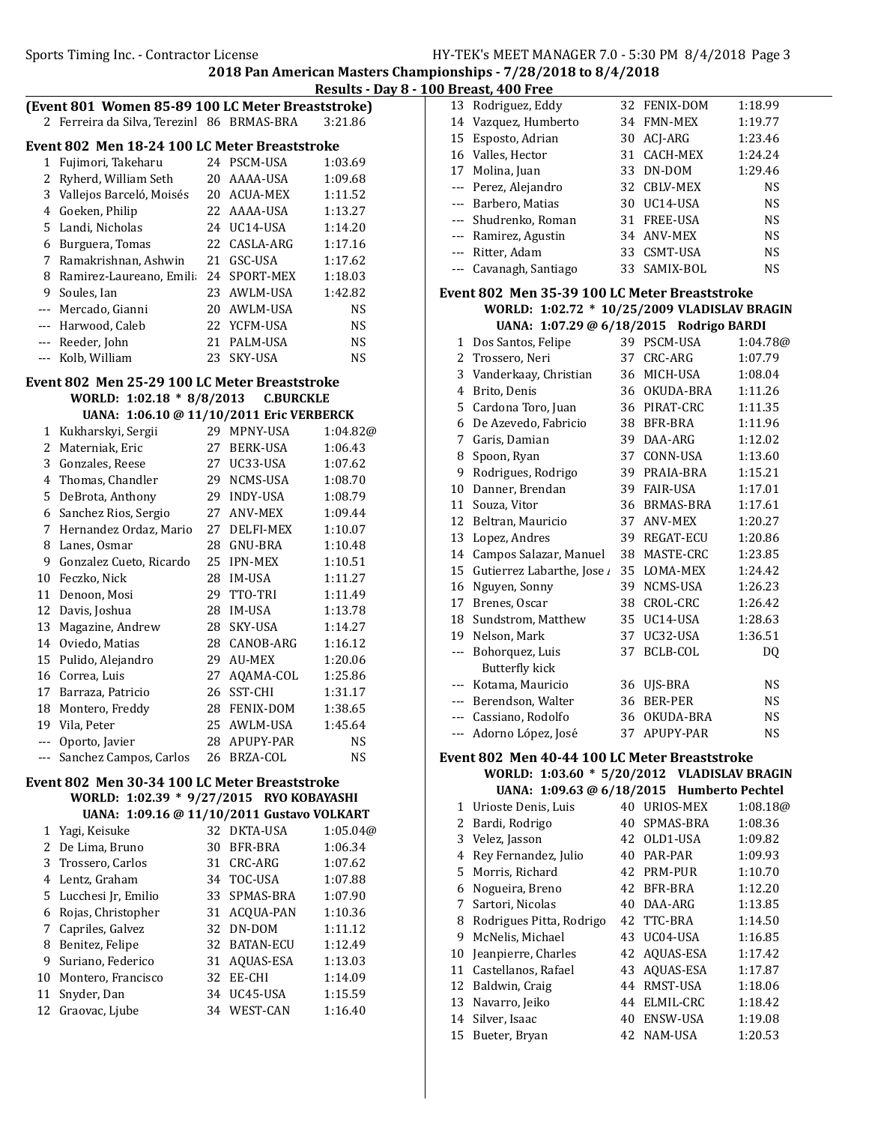Results - Day 8 - 100 Breast, 400 Free

| (Event 801 Women 85-89 100 LC Meter Breaststroke) |  |
|---------------------------------------------------|--|
| 2 Ferreira da Silva, Terezin 86 BRMAS-BRA 3:21.86 |  |
| Evant 802 Man 18-24 100 LC Mater Breaststroke     |  |

|   | Event 802 Men 18-24 100 LC Meter Breaststroke |    |                |           |  |  |
|---|-----------------------------------------------|----|----------------|-----------|--|--|
| 1 | Fujimori, Takeharu                            |    | 24 PSCM-USA    | 1:03.69   |  |  |
| 2 | Ryherd, William Seth                          | 20 | AAAA-USA       | 1:09.68   |  |  |
| 3 | Vallejos Barceló, Moisés                      |    | 20 ACUA-MEX    | 1:11.52   |  |  |
| 4 | Goeken, Philip                                |    | 22 AAAA-USA    | 1:13.27   |  |  |
|   | 5 Landi, Nicholas                             |    | 24 UC14-USA    | 1:14.20   |  |  |
| 6 | Burguera, Tomas                               |    | 22 CASLA-ARG   | 1:17.16   |  |  |
| 7 | Ramakrishnan, Ashwin                          |    | 21 GSC-USA     | 1:17.62   |  |  |
| 8 | Ramirez-Laureano, Emili                       |    | 24 SPORT-MEX   | 1:18.03   |  |  |
| 9 | Soules, Ian                                   |    | 23 AWLM-USA    | 1:42.82   |  |  |
|   | Mercado, Gianni                               |    | 20 AWLM-USA    | <b>NS</b> |  |  |
|   | --- Harwood, Caleb                            |    | 22 YCFM-USA    | <b>NS</b> |  |  |
|   | --- Reeder, John                              | 21 | PALM-USA       | <b>NS</b> |  |  |
|   | --- Kolb, William                             | 23 | <b>SKY-USA</b> | NS        |  |  |

## Event 802 Men 25-29 100 LC Meter Breaststroke WORLD: 1:02.18 \* 8/8/2013 C.BURCKLE

| Kukharskyi, Sergii      | 29 | MPNY-USA         | 1:04.82@                                 |
|-------------------------|----|------------------|------------------------------------------|
| Materniak, Eric         | 27 | <b>BERK-USA</b>  | 1:06.43                                  |
| Gonzales, Reese         | 27 | UC33-USA         | 1:07.62                                  |
| Thomas, Chandler        | 29 | NCMS-USA         | 1:08.70                                  |
| DeBrota, Anthony        | 29 | <b>INDY-USA</b>  | 1:08.79                                  |
| Sanchez Rios, Sergio    | 27 | ANV-MEX          | 1:09.44                                  |
| Hernandez Ordaz, Mario  | 27 | <b>DELFI-MEX</b> | 1:10.07                                  |
| Lanes, Osmar            | 28 | <b>GNU-BRA</b>   | 1:10.48                                  |
| Gonzalez Cueto, Ricardo | 25 | <b>IPN-MEX</b>   | 1:10.51                                  |
| Feczko, Nick            | 28 | <b>IM-USA</b>    | 1:11.27                                  |
| Denoon, Mosi            | 29 | TTO-TRI          | 1:11.49                                  |
| Davis, Joshua           | 28 | <b>IM-USA</b>    | 1:13.78                                  |
| Magazine, Andrew        | 28 | SKY-USA          | 1:14.27                                  |
| Oviedo, Matias          | 28 | CANOB-ARG        | 1:16.12                                  |
| Pulido, Alejandro       | 29 | <b>AU-MEX</b>    | 1:20.06                                  |
| Correa, Luis            | 27 | AOAMA-COL        | 1:25.86                                  |
| Barraza, Patricio       | 26 | SST-CHI          | 1:31.17                                  |
| Montero, Freddy         | 28 | <b>FENIX-DOM</b> | 1:38.65                                  |
| Vila, Peter             | 25 | <b>AWLM-USA</b>  | 1:45.64                                  |
| Oporto, Javier          | 28 | APUPY-PAR        | NS                                       |
| Sanchez Campos, Carlos  | 26 | BRZA-COL         | NS                                       |
|                         |    |                  | UANA: 1:06.10 @ 11/10/2011 Eric VERBERCK |

#### Event 802 Men 30-34 100 LC Meter Breaststroke WORLD: 1:02.39 \* 9/27/2015 RYO KOBAYASHI UANA: 1:09.16 @ 11/10/2011 Gustavo VOLKART

|    | $0.0001$ and $0.0001$ and $0.011$ and $0.0001$ and $0.001$ |    |              |          |
|----|------------------------------------------------------------|----|--------------|----------|
|    | 1 Yagi, Keisuke                                            |    | 32 DKTA-USA  | 1:05.04@ |
|    | 2 De Lima, Bruno                                           | 30 | BFR-BRA      | 1:06.34  |
|    | 3 Trossero, Carlos                                         |    | 31 CRC-ARG   | 1:07.62  |
|    | 4 Lentz, Graham                                            |    | 34 TOC-USA   | 1:07.88  |
|    | 5 Lucchesi Jr, Emilio                                      |    | 33 SPMAS-BRA | 1:07.90  |
| 6  | Rojas, Christopher                                         |    | 31 ACOUA-PAN | 1:10.36  |
| 7  | Capriles, Galvez                                           |    | 32 DN-DOM    | 1:11.12  |
| 8  | Benitez, Felipe                                            |    | 32 BATAN-ECU | 1:12.49  |
|    | 9 Suriano, Federico                                        |    | 31 AQUAS-ESA | 1:13.03  |
| 10 | Montero, Francisco                                         |    | 32 EE-CHI    | 1:14.09  |
| 11 | Snyder, Dan                                                |    | 34 UC45-USA  | 1:15.59  |
|    | 12 Graovac, Ljube                                          |    | 34 WEST-CAN  | 1:16.40  |

| 13 Rodriguez, Eddy     | 32 FENIX-DOM | 1:18.99   |
|------------------------|--------------|-----------|
| 14 Vazquez, Humberto   | 34 FMN-MEX   | 1:19.77   |
| 15 Esposto, Adrian     | 30 ACJ-ARG   | 1:23.46   |
| 16 Valles, Hector      | 31 CACH-MEX  | 1:24.24   |
| 17 Molina, Juan        | 33 DN-DOM    | 1:29.46   |
| --- Perez, Alejandro   | 32 CBLV-MEX  | <b>NS</b> |
| --- Barbero, Matias    | 30 UC14-USA  | <b>NS</b> |
| --- Shudrenko, Roman   | 31 FREE-USA  | <b>NS</b> |
| --- Ramirez, Agustin   | 34 ANV-MEX   | <b>NS</b> |
| --- Ritter, Adam       | 33 CSMT-USA  | <b>NS</b> |
| --- Cavanagh, Santiago | 33 SAMIX-BOL | NS        |

# Event 802 Men 35-39 100 LC Meter Breaststroke WORLD: 1:02.72 \* 10/25/2009 VLADISLAV BRAGIN

|       | UANA: 1:07.29 @ 6/18/2015 Rodrigo BARDI |    |                  |           |
|-------|-----------------------------------------|----|------------------|-----------|
| 1     | Dos Santos, Felipe                      | 39 | <b>PSCM-USA</b>  | 1:04.78@  |
| 2     | Trossero, Neri                          | 37 | CRC-ARG          | 1:07.79   |
| 3     | Vanderkaay, Christian                   | 36 | MICH-USA         | 1:08.04   |
| 4     | Brito, Denis                            | 36 | OKUDA-BRA        | 1:11.26   |
| 5     | Cardona Toro, Juan                      | 36 | PIRAT-CRC        | 1:11.35   |
| 6     | De Azevedo, Fabricio                    | 38 | BFR-BRA          | 1:11.96   |
| 7     | Garis, Damian                           | 39 | DAA-ARG          | 1:12.02   |
| 8     | Spoon, Ryan                             | 37 | CONN-USA         | 1:13.60   |
| 9     | Rodrigues, Rodrigo                      | 39 | PRAIA-BRA        | 1:15.21   |
| 10    | Danner, Brendan                         | 39 | <b>FAIR-USA</b>  | 1:17.01   |
| 11    | Souza, Vitor                            | 36 | BRMAS-BRA        | 1:17.61   |
| 12    | Beltran, Mauricio                       | 37 | <b>ANV-MEX</b>   | 1:20.27   |
| 13    | Lopez, Andres                           | 39 | REGAT-ECU        | 1:20.86   |
| 14    | Campos Salazar, Manuel                  | 38 | MASTE-CRC        | 1:23.85   |
| 15    | Gutierrez Labarthe, Jose                | 35 | LOMA-MEX         | 1:24.42   |
| 16    | Nguyen, Sonny                           | 39 | NCMS-USA         | 1:26.23   |
| 17    | Brenes, Oscar                           | 38 | CROL-CRC         | 1:26.42   |
| 18    | Sundstrom, Matthew                      | 35 | UC14-USA         | 1:28.63   |
| 19    | Nelson, Mark                            | 37 | UC32-USA         | 1:36.51   |
| ---   | Bohorquez, Luis                         | 37 | BCLB-COL         | DQ        |
|       | <b>Butterfly kick</b>                   |    |                  |           |
|       | Kotama, Mauricio                        | 36 | UJS-BRA          | NS        |
| $---$ | Berendson, Walter                       | 36 | <b>BER-PER</b>   | <b>NS</b> |
|       | Cassiano, Rodolfo                       | 36 | OKUDA-BRA        | <b>NS</b> |
| ---   | Adorno López, José                      | 37 | <b>APUPY-PAR</b> | <b>NS</b> |

## Event 802 Men 40-44 100 LC Meter Breaststroke WORLD: 1:03.60 \* 5/20/2012 VLADISLAV BRAGIN

|    | UANA: 1:09.63 @ 6/18/2015 Humberto Pechtel |    |                 |          |
|----|--------------------------------------------|----|-----------------|----------|
|    | 1 Urioste Denis, Luis                      | 40 | URIOS-MEX       | 1:08.18@ |
| 2  | Bardi, Rodrigo                             | 40 | SPMAS-BRA       | 1:08.36  |
| 3  | Velez, Jasson                              |    | 42 OLD1-USA     | 1:09.82  |
| 4  | Rey Fernandez, Julio                       | 40 | PAR-PAR         | 1:09.93  |
| 5. | Morris, Richard                            |    | 42 PRM-PUR      | 1:10.70  |
| 6  | Nogueira, Breno                            |    | 42 BFR-BRA      | 1:12.20  |
| 7  | Sartori, Nicolas                           | 40 | DAA-ARG         | 1:13.85  |
| 8  | Rodrigues Pitta, Rodrigo                   |    | 42 TTC-BRA      | 1:14.50  |
| 9  | McNelis, Michael                           | 43 | UC04-USA        | 1:16.85  |
| 10 | Jeanpierre, Charles                        |    | 42 AQUAS-ESA    | 1:17.42  |
| 11 | Castellanos, Rafael                        | 43 | AOUAS-ESA       | 1:17.87  |
| 12 | Baldwin, Craig                             | 44 | RMST-USA        | 1:18.06  |
| 13 | Navarro, Jeiko                             | 44 | ELMIL-CRC       | 1:18.42  |
| 14 | Silver, Isaac                              | 40 | <b>ENSW-USA</b> | 1:19.08  |
|    | 15 Bueter, Bryan                           |    | 42 NAM-USA      | 1:20.53  |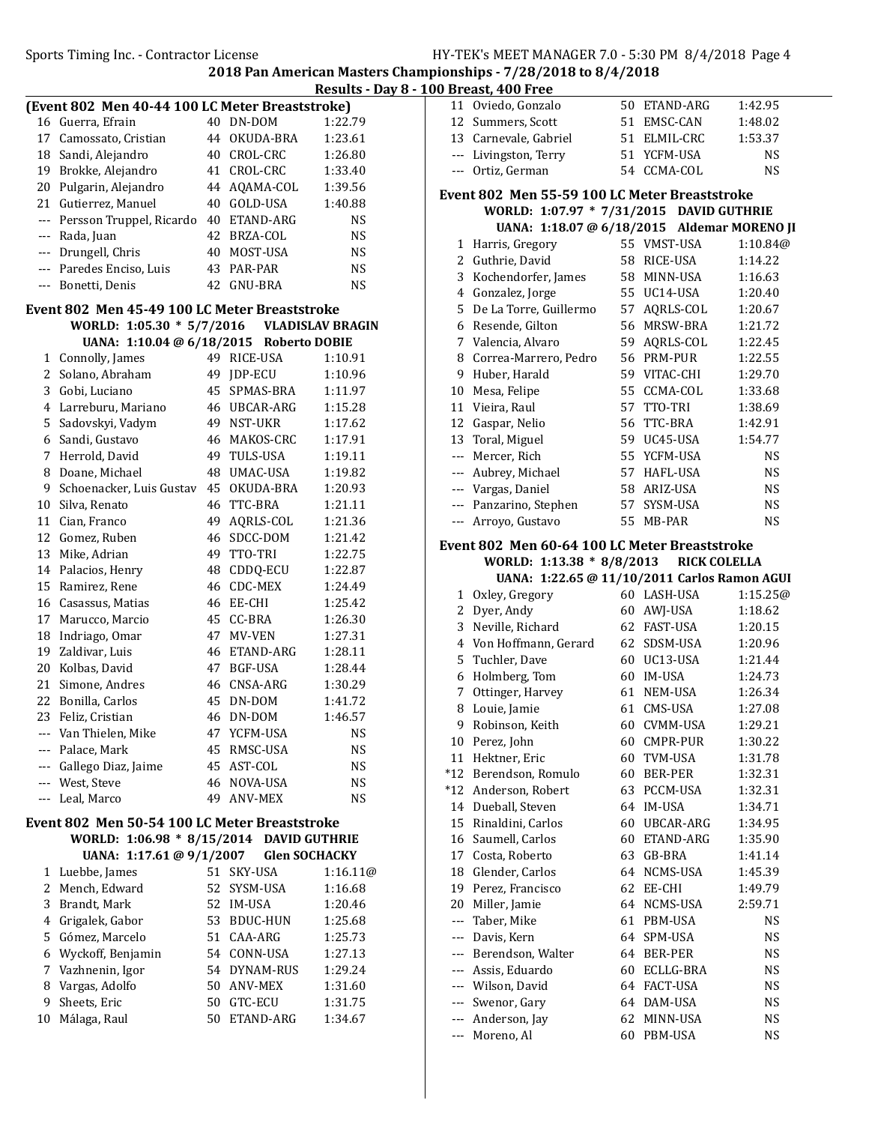### Results - Day 8 - 100 Breast, 400 Free

| (Event 802 Men 40-44 100 LC Meter Breaststroke) |                                                      |          |                             |           |
|-------------------------------------------------|------------------------------------------------------|----------|-----------------------------|-----------|
|                                                 | 16 Guerra, Efrain                                    |          | 40 DN-DOM                   | 1:22.79   |
| 17                                              | Camossato, Cristian                                  | 44       | OKUDA-BRA                   | 1:23.61   |
|                                                 | 18 Sandi, Alejandro                                  |          | 40 CROL-CRC                 | 1:26.80   |
| 19                                              | Brokke, Alejandro                                    | 41       | CROL-CRC                    | 1:33.40   |
| 20                                              | Pulgarin, Alejandro                                  |          |                             | 1:39.56   |
| 21                                              | Gutierrez, Manuel                                    |          | 44 AQAMA-COL<br>40 GOLD-USA | 1:40.88   |
|                                                 |                                                      |          | 40 ETAND-ARG                | <b>NS</b> |
|                                                 | --- Persson Truppel, Ricardo                         |          |                             |           |
|                                                 | --- Rada, Juan                                       |          | 42 BRZA-COL                 | <b>NS</b> |
|                                                 | --- Drungell, Chris                                  |          | 40 MOST-USA                 | <b>NS</b> |
|                                                 | --- Paredes Enciso, Luis                             |          | 43 PAR-PAR                  | <b>NS</b> |
| $- - -$                                         | Bonetti, Denis                                       | 42       | <b>GNU-BRA</b>              | NS        |
|                                                 | Event 802 Men 45-49 100 LC Meter Breaststroke        |          |                             |           |
| WORLD: 1:05.30 * 5/7/2016 VLADISLAV BRAGIN      |                                                      |          |                             |           |
|                                                 | UANA: 1:10.04 @ 6/18/2015 Roberto DOBIE              |          |                             |           |
| $1 \quad$                                       | Connolly, James                                      |          | 49 RICE-USA                 | 1:10.91   |
| 2                                               | Solano, Abraham                                      | 49       | JDP-ECU                     | 1:10.96   |
|                                                 | 3 Gobi, Luciano                                      | 45       | SPMAS-BRA                   | 1:11.97   |
|                                                 | 4 Larreburu, Mariano                                 |          | 46 UBCAR-ARG                | 1:15.28   |
| 5                                               | Sadovskyi, Vadym                                     |          | 49 NST-UKR                  | 1:17.62   |
|                                                 | 6 Sandi, Gustavo                                     |          | 46 MAKOS-CRC                | 1:17.91   |
|                                                 | 7 Herrold, David                                     |          | 49 TULS-USA                 | 1:19.11   |
|                                                 | 8 Doane, Michael                                     |          | 48 UMAC-USA                 | 1:19.82   |
| 9                                               | Schoenacker, Luis Gustav                             |          | 45 OKUDA-BRA                | 1:20.93   |
| 10 <sup>°</sup>                                 | Silva, Renato                                        | 46       | TTC-BRA                     | 1:21.11   |
|                                                 | 11 Cian, Franco                                      | 49       | AQRLS-COL                   | 1:21.36   |
|                                                 | 12 Gomez, Ruben                                      | 46       | SDCC-DOM                    | 1:21.42   |
| 13                                              | Mike, Adrian                                         |          | 49 TTO-TRI                  | 1:22.75   |
| 14                                              | Palacios, Henry                                      |          | 48 CDDQ-ECU                 | 1:22.87   |
| 15                                              | Ramirez, Rene                                        |          | 46 CDC-MEX                  | 1:24.49   |
|                                                 | 16 Casassus, Matias                                  |          | 46 EE-CHI                   | 1:25.42   |
| 17                                              | Marucco, Marcio                                      |          | 45 CC-BRA                   | 1:26.30   |
| 18                                              | Indriago, Omar                                       |          | 47 MV-VEN                   | 1:27.31   |
| 19                                              | Zaldivar, Luis                                       |          | 46 ETAND-ARG                | 1:28.11   |
|                                                 | 20 Kolbas, David                                     |          | 47 BGF-USA                  | 1:28.44   |
| 21                                              | Simone, Andres                                       |          | 46 CNSA-ARG                 | 1:30.29   |
| 22                                              | Bonilla, Carlos                                      | 45       | DN-DOM                      | 1:41.72   |
| 23                                              |                                                      | 46       | DN-DOM                      | 1:46.57   |
|                                                 | Feliz, Cristian                                      |          |                             |           |
|                                                 | --- Van Thielen, Mike                                | 47       | YCFM-USA                    | NS        |
|                                                 | --- Palace, Mark                                     | 45<br>45 | RMSC-USA                    | NS        |
|                                                 | --- Gallego Diaz, Jaime                              |          | AST-COL<br>NOVA-USA         | NS        |
|                                                 | --- West, Steve                                      | 46       |                             | NS        |
| $---$                                           | Leal, Marco                                          | 49       | <b>ANV-MEX</b>              | <b>NS</b> |
|                                                 | <b>Event 802 Men 50-54 100 LC Meter Breaststroke</b> |          |                             |           |
|                                                 | WORLD: 1:06.98 * 8/15/2014 DAVID GUTHRIE             |          |                             |           |
|                                                 | UANA: 1:17.61 @ 9/1/2007                             |          | <b>Glen SOCHACKY</b>        |           |
| 1                                               | Luebbe, James                                        | 51       | SKY-USA                     | 1:16.11@  |
| 2                                               | Mench, Edward                                        | 52       | SYSM-USA                    | 1:16.68   |
| 3                                               | Brandt, Mark                                         | 52       | IM-USA                      | 1:20.46   |
| 4                                               | Grigalek, Gabor                                      | 53       | <b>BDUC-HUN</b>             | 1:25.68   |
| 5                                               | Gómez, Marcelo                                       | 51       | CAA-ARG                     | 1:25.73   |
| 6                                               | Wyckoff, Benjamin                                    |          | 54 CONN-USA                 | 1:27.13   |
| 7                                               | Vazhnenin, Igor                                      |          | 54 DYNAM-RUS                | 1:29.24   |
| 8                                               | Vargas, Adolfo                                       |          | 50 ANV-MEX                  | 1:31.60   |
| 9                                               | Sheets, Eric                                         |          | 50 GTC-ECU                  | 1:31.75   |
| 10                                              | Málaga, Raul                                         | 50       | ETAND-ARG                   | 1:34.67   |
|                                                 |                                                      |          |                             |           |

| 11                                                 | Oviedo, Gonzalo                               | 50 | ETAND-ARG        | 1:42.95   |
|----------------------------------------------------|-----------------------------------------------|----|------------------|-----------|
|                                                    | 12 Summers, Scott                             |    | 51 EMSC-CAN      | 1:48.02   |
|                                                    | 13 Carnevale, Gabriel                         |    | 51 ELMIL-CRC     | 1:53.37   |
|                                                    | --- Livingston, Terry                         |    | 51 YCFM-USA      | <b>NS</b> |
|                                                    | --- Ortiz, German                             |    | 54 CCMA-COL      | NS        |
|                                                    |                                               |    |                  |           |
|                                                    | Event 802 Men 55-59 100 LC Meter Breaststroke |    |                  |           |
|                                                    | WORLD: 1:07.97 * 7/31/2015 DAVID GUTHRIE      |    |                  |           |
|                                                    | UANA: 1:18.07 @ 6/18/2015 Aldemar MORENO JI   |    |                  |           |
| 1                                                  | Harris, Gregory                               |    | 55 VMST-USA      | 1:10.84@  |
| 2                                                  | Guthrie, David                                | 58 | RICE-USA         | 1:14.22   |
| 3                                                  | Kochendorfer, James                           |    | 58 MINN-USA      | 1:16.63   |
|                                                    | 4 Gonzalez, Jorge                             |    | 55 UC14-USA      | 1:20.40   |
| 5                                                  | De La Torre, Guillermo                        | 57 | AQRLS-COL        | 1:20.67   |
| 6                                                  | Resende, Gilton                               | 56 | MRSW-BRA         | 1:21.72   |
| 7                                                  | Valencia, Alvaro                              | 59 | AQRLS-COL        | 1:22.45   |
| 8                                                  | Correa-Marrero, Pedro                         | 56 | PRM-PUR          | 1:22.55   |
| 9                                                  | Huber, Harald                                 |    | 59 VITAC-CHI     | 1:29.70   |
| 10                                                 | Mesa, Felipe                                  | 55 | CCMA-COL         | 1:33.68   |
|                                                    | 11 Vieira, Raul                               | 57 | TTO-TRI          | 1:38.69   |
| 12                                                 | Gaspar, Nelio                                 | 56 | TTC-BRA          | 1:42.91   |
| 13                                                 | Toral, Miguel                                 |    | 59 UC45-USA      | 1:54.77   |
|                                                    | --- Mercer, Rich                              |    | 55 YCFM-USA      | <b>NS</b> |
|                                                    | --- Aubrey, Michael                           |    | 57 HAFL-USA      | <b>NS</b> |
|                                                    | --- Vargas, Daniel                            |    | 58 ARIZ-USA      | <b>NS</b> |
|                                                    | --- Panzarino, Stephen                        | 57 | SYSM-USA         | <b>NS</b> |
|                                                    | --- Arroyo, Gustavo                           | 55 | MB-PAR           | <b>NS</b> |
|                                                    | Event 802 Men 60-64 100 LC Meter Breaststroke |    |                  |           |
| WORLD: $1:13.38 * 8/8/2013$<br><b>RICK COLELLA</b> |                                               |    |                  |           |
|                                                    |                                               |    |                  |           |
|                                                    | UANA: 1:22.65 @ 11/10/2011 Carlos Ramon AGUI  |    |                  |           |
| 1                                                  | Oxley, Gregory                                |    | 60 LASH-USA      | 1:15.25@  |
| 2                                                  | Dyer, Andy                                    | 60 | AWJ-USA          | 1:18.62   |
| 3                                                  | Neville, Richard                              |    | 62 FAST-USA      | 1:20.15   |
| 4                                                  | Von Hoffmann, Gerard                          |    | 62 SDSM-USA      | 1:20.96   |
| 5                                                  | Tuchler, Dave                                 |    | 60 UC13-USA      | 1:21.44   |
| 6                                                  | Holmberg, Tom                                 |    | 60 IM-USA        | 1:24.73   |
| 7                                                  | Ottinger, Harvey                              |    | 61 NEM-USA       | 1:26.34   |
| 8                                                  | Louie, Jamie                                  |    | 61 CMS-USA       | 1:27.08   |
| 9                                                  | Robinson, Keith                               |    | 60 CVMM-USA      | 1:29.21   |
| 10                                                 | Perez, John                                   | 60 | <b>CMPR-PUR</b>  | 1:30.22   |
| 11                                                 | Hektner, Eric                                 | 60 | TVM-USA          | 1:31.78   |
| $*12$                                              | Berendson, Romulo                             | 60 | BER-PER          | 1:32.31   |
| $*12$                                              | Anderson, Robert                              | 63 | PCCM-USA         | 1:32.31   |
| 14                                                 | Dueball, Steven                               | 64 | IM-USA           | 1:34.71   |
| 15                                                 | Rinaldini, Carlos                             | 60 | <b>UBCAR-ARG</b> | 1:34.95   |
| 16                                                 | Saumell, Carlos                               | 60 | ETAND-ARG        | 1:35.90   |
| 17                                                 | Costa, Roberto                                | 63 | GB-BRA           | 1:41.14   |
| 18                                                 | Glender, Carlos                               | 64 | NCMS-USA         | 1:45.39   |
| 19                                                 | Perez, Francisco                              | 62 | EE-CHI           | 1:49.79   |
| 20                                                 | Miller, Jamie                                 | 64 | NCMS-USA         | 2:59.71   |
| $---$                                              | Taber, Mike                                   | 61 | PBM-USA          | <b>NS</b> |
| ---                                                | Davis, Kern                                   | 64 | SPM-USA          | NS        |
| $\cdots$                                           | Berendson, Walter                             | 64 | BER-PER          | NS        |
| ---                                                | Assis, Eduardo                                | 60 | ECLLG-BRA        | NS        |
| $---$                                              | Wilson, David                                 | 64 | FACT-USA         | NS        |
| $--$                                               | Swenor, Gary                                  | 64 | DAM-USA          | NS        |
| $--$                                               | Anderson, Jay<br>Moreno, Al                   | 62 | MINN-USA         | NS        |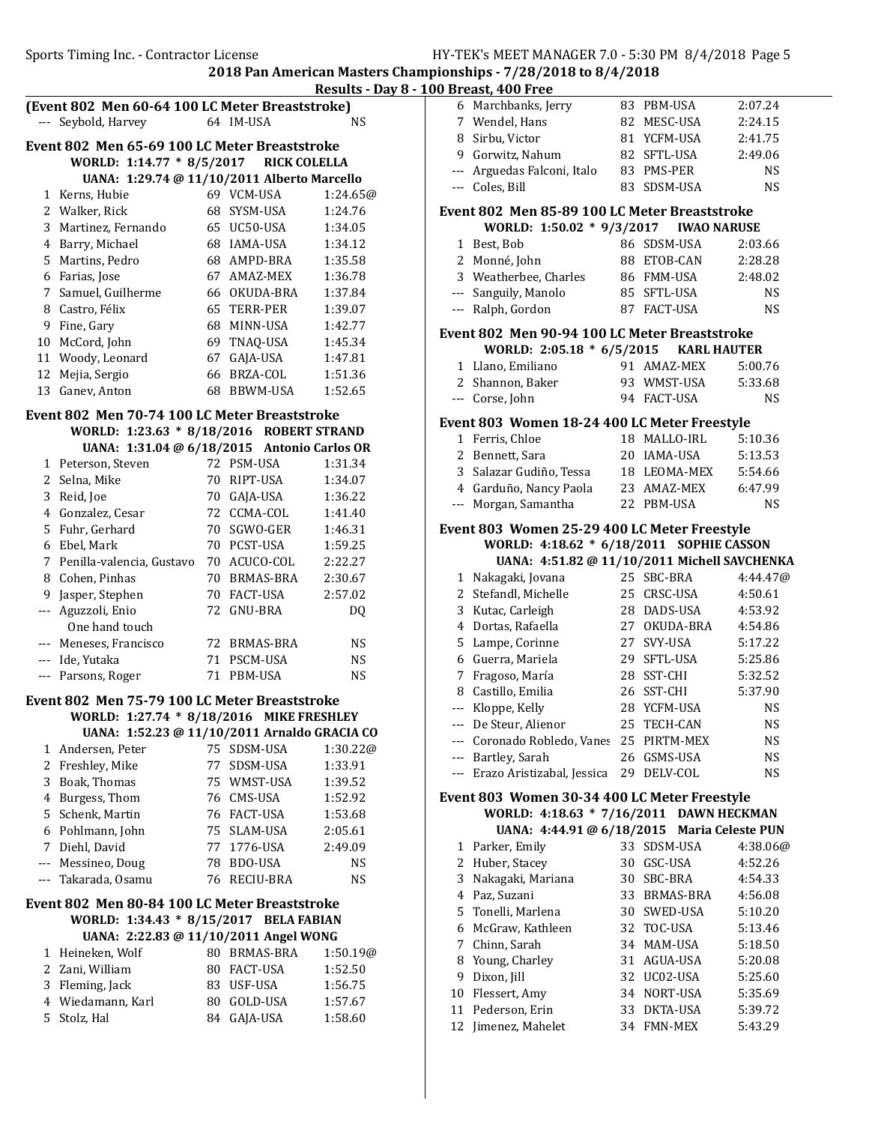Results - Day 8 - 100 Breast, 400 Free

|                |                                                                 |    |                             | Results - Day      |
|----------------|-----------------------------------------------------------------|----|-----------------------------|--------------------|
|                | (Event 802 Men 60-64 100 LC Meter Breaststroke)                 |    |                             |                    |
| $---$          | Seybold, Harvey                                                 |    | 64 IM-USA                   | <b>NS</b>          |
|                | Event 802 Men 65-69 100 LC Meter Breaststroke                   |    |                             |                    |
|                | WORLD: 1:14.77 * 8/5/2017 RICK COLELLA                          |    |                             |                    |
|                | UANA: 1:29.74 @ 11/10/2011 Alberto Marcello                     |    |                             |                    |
| $\mathbf{1}$   | Kerns, Hubie                                                    |    | 69 VCM-USA                  | 1:24.65@           |
|                | 2 Walker, Rick                                                  |    | 68 SYSM-USA                 | 1:24.76            |
| 3              | Martinez, Fernando                                              |    | 65 UC50-USA                 | 1:34.05            |
|                | 4 Barry, Michael                                                |    | 68 IAMA-USA                 | 1:34.12            |
| 5              | Martins, Pedro                                                  |    | 68 AMPD-BRA                 | 1:35.58            |
| 6              | Farias, Jose                                                    |    | 67 AMAZ-MEX                 | 1:36.78            |
| 7              | Samuel, Guilherme                                               |    | 66 OKUDA-BRA                | 1:37.84            |
|                | 8 Castro, Félix                                                 |    | 65 TERR-PER                 | 1:39.07            |
| 9              | Fine, Gary                                                      |    | 68 MINN-USA                 | 1:42.77            |
| 10             | McCord, John                                                    |    | 69 TNAQ-USA                 | 1:45.34            |
| 12             | 11 Woody, Leonard<br>Mejia, Sergio                              |    | 67 GAJA-USA<br>66 BRZA-COL  | 1:47.81            |
| 13             | Ganev, Anton                                                    |    | 68 BBWM-USA                 | 1:51.36<br>1:52.65 |
|                |                                                                 |    |                             |                    |
|                | Event 802 Men 70-74 100 LC Meter Breaststroke                   |    |                             |                    |
|                | WORLD: 1:23.63 * 8/18/2016 ROBERT STRAND                        |    |                             |                    |
|                | UANA: 1:31.04 @ 6/18/2015 Antonio Carlos OR                     |    |                             |                    |
| $\mathbf{1}$   | Peterson, Steven                                                |    | 72 PSM-USA                  | 1:31.34            |
|                | 2 Selna, Mike                                                   |    | 70 RIPT-USA                 | 1:34.07            |
| 3              | Reid, Joe                                                       |    | 70 GAJA-USA                 | 1:36.22            |
|                | 4 Gonzalez, Cesar                                               |    | 72 CCMA-COL                 | 1:41.40            |
|                | 5 Fuhr, Gerhard                                                 |    | 70 SGWO-GER                 | 1:46.31            |
| 6              | Ebel, Mark                                                      |    | 70 PCST-USA<br>70 ACUCO-COL | 1:59.25            |
|                | 7 Penilla-valencia, Gustavo<br>8 Cohen, Pinhas                  |    | 70 BRMAS-BRA                | 2:22.27<br>2:30.67 |
| 9              | Jasper, Stephen                                                 |    | 70 FACT-USA                 | 2:57.02            |
|                | --- Aguzzoli, Enio                                              |    | 72 GNU-BRA                  | DQ                 |
|                | One hand touch                                                  |    |                             |                    |
|                | --- Meneses, Francisco                                          |    | 72 BRMAS-BRA                | <b>NS</b>          |
|                | --- Ide, Yutaka                                                 |    | 71 PSCM-USA                 | <b>NS</b>          |
|                | --- Parsons, Roger                                              |    | 71 PBM-USA                  | <b>NS</b>          |
|                |                                                                 |    |                             |                    |
|                | Event 802 Men 75-79 100 LC Meter Breaststroke                   |    |                             |                    |
|                | WORLD: 1:27.74 * 8/18/2016 MIKE FRESHLEY                        |    |                             |                    |
| $\mathbf{1}$   | UANA: 1:52.23 @ 11/10/2011 Arnaldo GRACIA CO<br>Andersen, Peter |    | 75 SDSM-USA                 | 1:30.22@           |
| 2              | Freshley, Mike                                                  | 77 | SDSM-USA                    | 1:33.91            |
| 3              | Boak, Thomas                                                    |    | 75 WMST-USA                 | 1:39.52            |
| $\overline{4}$ | Burgess, Thom                                                   |    | 76 CMS-USA                  | 1:52.92            |
| 5              | Schenk, Martin                                                  |    | 76 FACT-USA                 | 1:53.68            |
| 6              | Pohlmann, John                                                  |    | 75 SLAM-USA                 | 2:05.61            |
|                | 7 Diehl, David                                                  |    | 77 1776-USA                 | 2:49.09            |
|                | --- Messineo, Doug                                              |    | 78 BDO-USA                  | <b>NS</b>          |
|                | --- Takarada, Osamu                                             | 76 | RECIU-BRA                   | NS                 |
|                |                                                                 |    |                             |                    |
|                | Event 802 Men 80-84 100 LC Meter Breaststroke                   |    |                             |                    |
|                | WORLD: 1:34.43 * 8/15/2017 BELA FABIAN                          |    |                             |                    |
| 1              | UANA: 2:22.83 @ 11/10/2011 Angel WONG<br>Heineken, Wolf         |    | 80 BRMAS-BRA                | 1:50.19@           |
| $\overline{c}$ | Zani, William                                                   |    | 80 FACT-USA                 | 1:52.50            |
| 3              | Fleming, Jack                                                   |    | 83 USF-USA                  | 1:56.75            |
|                | 4 Wiedamann, Karl                                               |    | 80 GOLD-USA                 | 1:57.67            |
| 5              | Stolz, Hal                                                      | 84 | GAJA-USA                    | 1:58.60            |
|                |                                                                 |    |                             |                    |
|                |                                                                 |    |                             |                    |

|             | 6 Marchbanks, Jerry                           |    | 83 PBM-USA   | 2:07.24                  |
|-------------|-----------------------------------------------|----|--------------|--------------------------|
|             | 7 Wendel, Hans                                |    | 82 MESC-USA  | 2:24.15                  |
|             | 8 Sirbu, Victor                               |    | 81 YCFM-USA  | 2:41.75                  |
|             | 9 Gorwitz, Nahum                              |    | 82 SFTL-USA  | 2:49.06                  |
|             | --- Arguedas Falconi, Italo                   |    | 83 PMS-PER   | <b>NS</b>                |
|             | --- Coles, Bill                               |    | 83 SDSM-USA  | NS                       |
|             |                                               |    |              |                          |
|             | Event 802 Men 85-89 100 LC Meter Breaststroke |    |              |                          |
|             |                                               |    |              |                          |
|             | 1 Best, Bob                                   |    | 86 SDSM-USA  | 2:03.66                  |
|             | 2 Monné, John                                 |    | 88 ETOB-CAN  | 2:28.28                  |
|             | 3 Weatherbee, Charles                         |    | 86 FMM-USA   | 2:48.02                  |
|             | --- Sanguily, Manolo                          |    | 85 SFTL-USA  | <b>NS</b>                |
|             | --- Ralph, Gordon                             |    | 87 FACT-USA  | <b>NS</b>                |
|             | Event 802 Men 90-94 100 LC Meter Breaststroke |    |              |                          |
|             | WORLD: 2:05.18 * 6/5/2015 KARL HAUTER         |    |              |                          |
|             | 1 Llano, Emiliano                             |    | 91 AMAZ-MEX  | 5:00.76                  |
|             | 2 Shannon, Baker                              |    | 93 WMST-USA  | 5:33.68                  |
|             | --- Corse, John                               |    | 94 FACT-USA  | <b>NS</b>                |
|             |                                               |    |              |                          |
|             | Event 803 Women 18-24 400 LC Meter Freestyle  |    |              |                          |
|             | 1 Ferris, Chloe                               |    | 18 MALLO-IRL | 5:10.36                  |
|             | 2 Bennett, Sara                               |    | 20 IAMA-USA  | 5:13.53                  |
|             | 3 Salazar Gudiño, Tessa                       |    | 18 LEOMA-MEX | 5:54.66                  |
|             | 4 Garduño, Nancy Paola                        |    | 23 AMAZ-MEX  | 6:47.99                  |
| ---         | Morgan, Samantha                              |    | 22 PBM-USA   | <b>NS</b>                |
|             | Event 803 Women 25-29 400 LC Meter Freestyle  |    |              |                          |
|             | WORLD: 4:18.62 * 6/18/2011 SOPHIE CASSON      |    |              |                          |
|             | UANA: 4:51.82 @ 11/10/2011 Michell SAVCHENKA  |    |              |                          |
|             | 1 Nakagaki, Jovana                            |    | 25 SBC-BRA   | 4:44.47@                 |
|             | 2 Stefandl, Michelle                          |    | 25 CRSC-USA  | 4:50.61                  |
|             | 3 Kutac, Carleigh                             |    | 28 DADS-USA  | 4:53.92                  |
|             | 4 Dortas, Rafaella                            |    | 27 OKUDA-BRA | 4:54.86                  |
|             | 5 Lampe, Corinne                              |    | 27 SVY-USA   |                          |
|             |                                               |    |              |                          |
|             |                                               |    |              | 5:17.22                  |
|             | 6 Guerra, Mariela                             |    | 29 SFTL-USA  | 5:25.86                  |
|             | 7 Fragoso, María                              |    | 28 SST-CHI   | 5:32.52                  |
|             | 8 Castillo, Emilia                            |    | 26 SST-CHI   | 5:37.90                  |
|             | --- Kloppe, Kelly                             |    | 28 YCFM-USA  | <b>NS</b>                |
| ---         | De Steur, Alienor                             | 25 | TECH-CAN     | <b>NS</b>                |
|             | --- Coronado Robledo, Vanes                   |    | 25 PIRTM-MEX | NS                       |
|             | --- Bartley, Sarah                            |    | 26 GSMS-USA  | <b>NS</b>                |
|             | --- Erazo Aristizabal, Jessica                |    | 29 DELV-COL  | <b>NS</b>                |
|             | Event 803 Women 30-34 400 LC Meter Freestyle  |    |              |                          |
|             | WORLD: 4:18.63 * 7/16/2011 DAWN HECKMAN       |    |              |                          |
|             | UANA: 4:44.91 @ 6/18/2015                     |    |              | <b>Maria Celeste PUN</b> |
| $1\,$       | Parker, Emily                                 |    | 33 SDSM-USA  | 4:38.06@                 |
| $2^{\circ}$ | Huber, Stacey                                 |    | 30 GSC-USA   | 4:52.26                  |
| 3           | Nakagaki, Mariana                             |    | 30 SBC-BRA   | 4:54.33                  |
|             | 4 Paz, Suzani                                 |    | 33 BRMAS-BRA | 4:56.08                  |
|             | 5 Tonelli, Marlena                            |    | 30 SWED-USA  | 5:10.20                  |
|             | 6 McGraw, Kathleen                            |    | 32 TOC-USA   | 5:13.46                  |
|             | 7 Chinn, Sarah                                |    | 34 MAM-USA   | 5:18.50                  |
| 8           | Young, Charley                                | 31 | AGUA-USA     | 5:20.08                  |
| 9           | Dixon, Jill                                   |    | 32 UC02-USA  | 5:25.60                  |
| $10\,$      | Flessert, Amy                                 |    | 34 NORT-USA  | 5:35.69                  |

12 Jimenez, Mahelet 34 FMN-MEX 5:43.29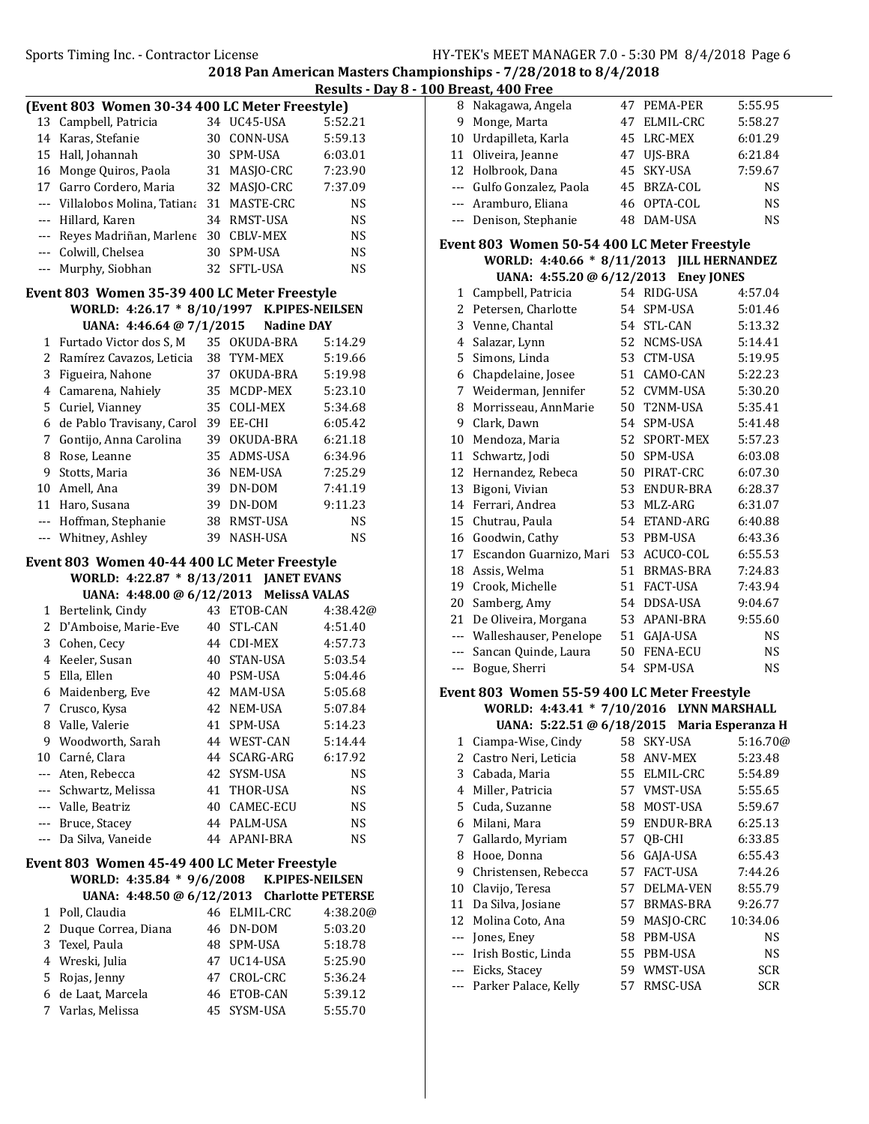Pay 8 - 100 Breast, 400 Free

|       |                                                                           |    |                        | <b>Results - D</b>     |
|-------|---------------------------------------------------------------------------|----|------------------------|------------------------|
|       | (Event 803 Women 30-34 400 LC Meter Freestyle)                            |    |                        |                        |
| 13    | Campbell, Patricia                                                        |    | 34 UC45-USA            | 5:52.21                |
|       | 14 Karas, Stefanie                                                        |    | 30 CONN-USA            | 5:59.13                |
| 15    | Hall, Johannah                                                            |    | 30 SPM-USA             | 6:03.01                |
|       | 16 Monge Quiros, Paola                                                    |    | 31 MASJO-CRC           | 7:23.90                |
|       | 17 Garro Cordero, Maria                                                   |    | 32 MASJO-CRC           | 7:37.09                |
|       | --- Villalobos Molina, Tatiana                                            |    | 31 MASTE-CRC           | NS                     |
|       | --- Hillard, Karen                                                        |    | 34 RMST-USA            | NS                     |
|       | --- Reyes Madriñan, Marlene                                               |    | 30 CBLV-MEX            | NS                     |
|       | --- Colwill, Chelsea                                                      |    | 30 SPM-USA             | NS                     |
| $---$ | Murphy, Siobhan                                                           |    | 32 SFTL-USA            | <b>NS</b>              |
|       | Event 803 Women 35-39 400 LC Meter Freestyle                              |    |                        |                        |
|       | WORLD: 4:26.17 * 8/10/1997                                                |    | <b>K.PIPES-NEILSEN</b> |                        |
|       | UANA: 4:46.64 @ 7/1/2015                                                  |    | <b>Nadine DAY</b>      |                        |
|       | 1 Furtado Victor dos S, M                                                 |    | 35 OKUDA-BRA           | 5:14.29                |
|       | 2 Ramírez Cavazos, Leticia                                                |    | 38 TYM-MEX             | 5:19.66                |
| 3     | Figueira, Nahone                                                          |    | 37 OKUDA-BRA           | 5:19.98                |
|       | 4 Camarena, Nahiely                                                       |    | 35 MCDP-MEX            | 5:23.10                |
| 5     | Curiel, Vianney                                                           |    | 35 COLI-MEX            | 5:34.68                |
|       | 6 de Pablo Travisany, Carol                                               |    | 39 EE-CHI              | 6:05.42                |
| 7     | Gontijo, Anna Carolina                                                    |    | 39 OKUDA-BRA           | 6:21.18                |
|       | 8 Rose, Leanne                                                            |    | 35 ADMS-USA            | 6:34.96                |
| 9     | Stotts, Maria                                                             |    | 36 NEM-USA             | 7:25.29                |
|       | 10 Amell, Ana                                                             |    | 39 DN-DOM              | 7:41.19                |
|       | 11 Haro, Susana                                                           |    | 39 DN-DOM              | 9:11.23                |
|       | --- Hoffman, Stephanie                                                    |    | 38 RMST-USA            | NS                     |
|       | --- Whitney, Ashley                                                       | 39 | NASH-USA               | NS                     |
|       | Event 803 Women 40-44 400 LC Meter Freestyle                              |    |                        |                        |
|       | WORLD: 4:22.87 * 8/13/2011 JANET EVANS                                    |    |                        |                        |
|       | UANA: 4:48.00 @ 6/12/2013                                                 |    | <b>MelissA VALAS</b>   |                        |
|       | 1 Bertelink, Cindy                                                        |    | 43 ETOB-CAN            | 4:38.42@               |
|       | 2 D'Amboise, Marie-Eve                                                    |    | 40 STL-CAN             | 4:51.40                |
|       | 3 Cohen, Cecy                                                             |    | 44 CDI-MEX             | 4:57.73                |
|       | 4 Keeler, Susan                                                           |    | 40 STAN-USA            | 5:03.54                |
|       | 5 Ella, Ellen                                                             |    | 40 PSM-USA             | 5:04.46                |
| 6     | Maidenberg, Eve                                                           |    | 42 MAM-USA             | 5:05.68                |
| 7     | Crusco, Kysa                                                              |    | 42 NEM-USA             | 5:07.84                |
|       | 8 Valle, Valerie                                                          | 41 | SPM-USA                | 5:14.23                |
|       | 9 Woodworth, Sarah                                                        |    | 44 WEST-CAN            | 5:14.44                |
|       | 10 Carné, Clara                                                           |    | 44 SCARG-ARG           | 6:17.92                |
|       | --- Aten, Rebecca                                                         |    | 42 SYSM-USA            | NS                     |
|       | --- Schwartz, Melissa                                                     |    | 41 THOR-USA            | NS                     |
|       | --- Valle, Beatriz                                                        |    | 40 CAMEC-ECU           | NS                     |
|       | --- Bruce, Stacey                                                         |    | 44 PALM-USA            | NS                     |
| ---   | Da Silva, Vaneide                                                         |    | 44 APANI-BRA           | NS                     |
|       |                                                                           |    |                        |                        |
|       | Event 803 Women 45-49 400 LC Meter Freestyle<br>WORLD: 4:35.84 * 9/6/2008 |    |                        | <b>K.PIPES-NEILSEN</b> |
|       | UANA: 4:48.50 @ 6/12/2013 Charlotte PETERSE                               |    |                        |                        |
| 1     | Poll, Claudia                                                             |    | 46 ELMIL-CRC           | 4:38.20@               |
|       | 2 Duque Correa, Diana                                                     |    | 46 DN-DOM              | 5:03.20                |
|       | 3 Texel, Paula                                                            |    | 48 SPM-USA             | 5:18.78                |
|       | 4 Wreski, Julia                                                           |    | 47 UC14-USA            | 5:25.90                |
| 5     | Rojas, Jenny                                                              |    | 47 CROL-CRC            | 5:36.24                |
|       | 6 de Laat, Marcela                                                        |    | 46 ETOB-CAN            | 5:39.12                |
| 7     | Varlas, Melissa                                                           | 45 | SYSM-USA               | 5:55.70                |
|       |                                                                           |    |                        |                        |
|       |                                                                           |    |                        |                        |

| 8        | Nakagawa, Angela                                   | 47 | PEMA-PER          | 5:55.95           |
|----------|----------------------------------------------------|----|-------------------|-------------------|
| 9        | Monge, Marta                                       |    | 47 ELMIL-CRC      | 5:58.27           |
| $10\,$   | Urdapilleta, Karla                                 | 45 | LRC-MEX           | 6:01.29           |
| 11       | Oliveira, Jeanne                                   | 47 | UJS-BRA           | 6:21.84           |
|          | 12 Holbrook, Dana                                  | 45 | SKY-USA           | 7:59.67           |
|          | --- Gulfo Gonzalez, Paola                          |    | 45 BRZA-COL       | <b>NS</b>         |
|          | --- Aramburo, Eliana                               | 46 | OPTA-COL          | <b>NS</b>         |
| $---$    | Denison, Stephanie                                 | 48 | DAM-USA           | <b>NS</b>         |
|          | Event 803 Women 50-54 400 LC Meter Freestyle       |    |                   |                   |
|          | WORLD: 4:40.66 * 8/11/2013 JILL HERNANDEZ          |    |                   |                   |
|          | UANA: $4:55.20 \text{ } \textcircled{a} 6/12/2013$ |    | <b>Eney JONES</b> |                   |
|          | 1 Campbell, Patricia                               |    | 54 RIDG-USA       | 4:57.04           |
|          | 2 Petersen, Charlotte                              |    | 54 SPM-USA        | 5:01.46           |
|          | 3 Venne, Chantal                                   |    | 54 STL-CAN        | 5:13.32           |
|          | 4 Salazar, Lynn                                    |    | 52 NCMS-USA       | 5:14.41           |
| 5        | Simons, Linda                                      |    | 53 CTM-USA        | 5:19.95           |
| 6        | Chapdelaine, Josee                                 |    | 51 CAMO-CAN       | 5:22.23           |
| 7        | Weiderman, Jennifer                                |    | 52 CVMM-USA       | 5:30.20           |
| 8        | Morrisseau, AnnMarie                               | 50 | T2NM-USA          | 5:35.41           |
| 9        | Clark, Dawn                                        |    | 54 SPM-USA        | 5:41.48           |
| 10       | Mendoza, Maria                                     | 52 | SPORT-MEX         | 5:57.23           |
|          | 11 Schwartz, Jodi                                  | 50 | SPM-USA           | 6:03.08           |
| 12       | Hernandez, Rebeca                                  |    | 50 PIRAT-CRC      | 6:07.30           |
| 13       | Bigoni, Vivian                                     |    | 53 ENDUR-BRA      | 6:28.37           |
|          | 14 Ferrari, Andrea                                 | 53 | MLZ-ARG           | 6:31.07           |
| 15       | Chutrau, Paula                                     |    | 54 ETAND-ARG      | 6:40.88           |
| 16       | Goodwin, Cathy                                     |    | 53 PBM-USA        | 6:43.36           |
| 17       | Escandon Guarnizo, Mari                            | 53 | ACUCO-COL         | 6:55.53           |
| $18\,$   | Assis, Welma                                       |    | 51 BRMAS-BRA      | 7:24.83           |
| 19       | Crook, Michelle                                    | 51 | FACT-USA          | 7:43.94           |
| 20       | Samberg, Amy                                       | 54 | DDSA-USA          | 9:04.67           |
| 21       | De Oliveira, Morgana                               | 53 | APANI-BRA         | 9:55.60           |
|          | --- Walleshauser, Penelope                         | 51 | GAJA-USA          | <b>NS</b>         |
|          | --- Sancan Quinde, Laura                           | 50 | <b>FENA-ECU</b>   | <b>NS</b>         |
| $---$    | Bogue, Sherri                                      | 54 | SPM-USA           | <b>NS</b>         |
|          | Event 803 Women 55-59 400 LC Meter Freestyle       |    |                   |                   |
|          | WORLD: 4:43.41 * 7/10/2016 LYNN MARSHALL           |    |                   |                   |
|          | UANA: 5:22.51 @ 6/18/2015                          |    |                   | Maria Esperanza H |
| 1        | Ciampa-Wise, Cindy                                 | 58 | SKY-USA           | 5:16.70@          |
| 2        | Castro Neri, Leticia                               | 58 | ANV-MEX           | 5:23.48           |
| 3        | Cabada, Maria                                      | 55 | ELMIL-CRC         | 5:54.89           |
| 4        | Miller, Patricia                                   | 57 | VMST-USA          | 5:55.65           |
| 5        | Cuda, Suzanne                                      | 58 | MOST-USA          | 5:59.67           |
| 6        | Milani, Mara                                       | 59 | ENDUR-BRA         | 6:25.13           |
| 7        | Gallardo, Myriam                                   | 57 | QB-CHI            | 6:33.85           |
| 8        | Hooe, Donna                                        | 56 | GAJA-USA          | 6:55.43           |
| 9        | Christensen, Rebecca                               | 57 | FACT-USA          | 7:44.26           |
| 10       | Clavijo, Teresa                                    | 57 | DELMA-VEN         | 8:55.79           |
| 11       | Da Silva, Josiane                                  | 57 | BRMAS-BRA         | 9:26.77           |
| 12       | Molina Coto, Ana                                   | 59 | MASJO-CRC         | 10:34.06          |
| $\cdots$ | Jones, Eney                                        | 58 | PBM-USA           | NS                |
| $---$    | Irish Bostic, Linda                                | 55 | PBM-USA           | NS                |
| $--$     | Eicks, Stacey                                      | 59 | WMST-USA          | SCR               |
| $---$    | Parker Palace, Kelly                               | 57 | RMSC-USA          | SCR               |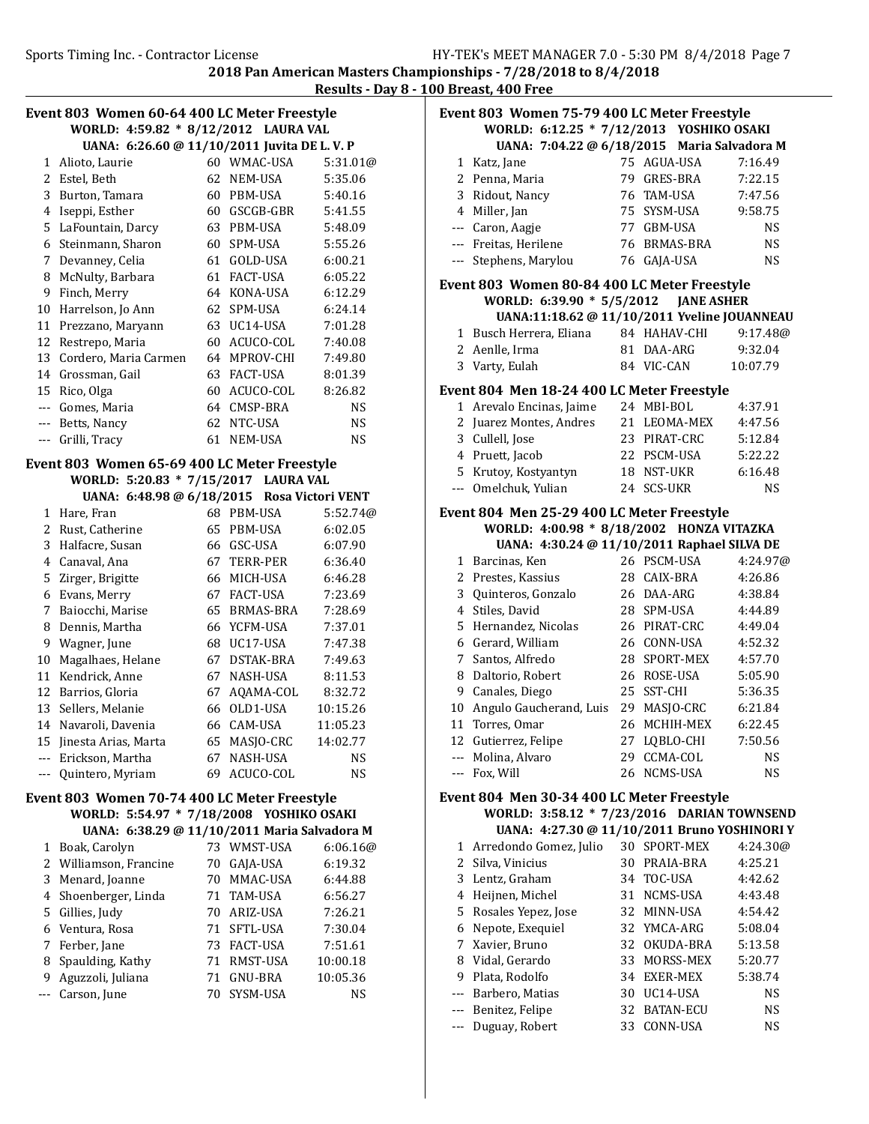2018 Pan American Masters Championships - 7/28/2018 to 8/4/2018 Results - Day 8 - 100 Breast, 400 Free

| Event 803 Women 60-64 400 LC Meter Freestyle<br>WORLD: 4:59.82 * 8/12/2012 LAURA VAL |                                              |    |                            |                    |
|--------------------------------------------------------------------------------------|----------------------------------------------|----|----------------------------|--------------------|
|                                                                                      |                                              |    |                            |                    |
|                                                                                      | UANA: 6:26.60 @ 11/10/2011 Juvita DE L.V.P   |    | 60 WMAC-USA                |                    |
|                                                                                      | 1 Alioto, Laurie                             |    |                            | 5:31.01@           |
| 2                                                                                    | Estel, Beth                                  |    | 62 NEM-USA                 | 5:35.06            |
| 3                                                                                    | Burton, Tamara                               |    | 60 PBM-USA                 | 5:40.16            |
| 4                                                                                    | Iseppi, Esther                               |    | 60 GSCGB-GBR               | 5:41.55            |
| 5                                                                                    | LaFountain, Darcy                            |    | 63 PBM-USA                 | 5:48.09            |
|                                                                                      | 6 Steinmann, Sharon                          |    | 60 SPM-USA<br>61 GOLD-USA  | 5:55.26            |
|                                                                                      | 7 Devanney, Celia                            |    |                            | 6:00.21            |
| 8                                                                                    | McNulty, Barbara<br>Finch, Merry             |    | 61 FACT-USA<br>64 KONA-USA | 6:05.22<br>6:12.29 |
| 9<br>10                                                                              | Harrelson, Jo Ann                            |    | 62 SPM-USA                 | 6:24.14            |
|                                                                                      |                                              |    | 63 UC14-USA                |                    |
| 11                                                                                   | Prezzano, Maryann                            |    | 60 ACUCO-COL               | 7:01.28<br>7:40.08 |
| 13                                                                                   | 12 Restrepo, Maria<br>Cordero, Maria Carmen  |    | 64 MPROV-CHI               | 7:49.80            |
|                                                                                      |                                              |    | 63 FACT-USA                |                    |
|                                                                                      | 14 Grossman, Gail                            |    | 60 ACUCO-COL               | 8:01.39<br>8:26.82 |
|                                                                                      | 15 Rico, Olga<br>--- Gomes, Maria            |    | 64 CMSP-BRA                | NS                 |
|                                                                                      |                                              |    | 62 NTC-USA                 | <b>NS</b>          |
|                                                                                      | --- Betts, Nancy<br>Grilli, Tracy            |    | 61 NEM-USA                 | <b>NS</b>          |
| ---                                                                                  |                                              |    |                            |                    |
|                                                                                      | Event 803 Women 65-69 400 LC Meter Freestyle |    |                            |                    |
|                                                                                      | WORLD: 5:20.83 * 7/15/2017 LAURA VAL         |    |                            |                    |
|                                                                                      | UANA: 6:48.98 @ 6/18/2015 Rosa Victori VENT  |    |                            |                    |
| 1                                                                                    | Hare, Fran                                   |    | 68 PBM-USA                 | 5:52.74@           |
| $\overline{c}$                                                                       | Rust, Catherine                              |    | 65 PBM-USA                 | 6:02.05            |
| 3                                                                                    | Halfacre, Susan                              |    | 66 GSC-USA                 | 6:07.90            |
| 4                                                                                    | Canaval, Ana                                 |    | 67 TERR-PER                | 6:36.40            |
| 5                                                                                    | Zirger, Brigitte                             |    | 66 MICH-USA                | 6:46.28            |
| 6                                                                                    | Evans, Merry                                 |    | 67 FACT-USA                | 7:23.69            |
| 7                                                                                    | Baiocchi, Marise                             |    | 65 BRMAS-BRA               | 7:28.69            |
| 8                                                                                    | Dennis, Martha                               |    | 66 YCFM-USA                | 7:37.01            |
| 9                                                                                    | Wagner, June                                 |    | 68 UC17-USA                | 7:47.38            |
| 10                                                                                   | Magalhaes, Helane                            |    | 67 DSTAK-BRA               | 7:49.63            |
|                                                                                      | 11 Kendrick, Anne                            |    | 67 NASH-USA                | 8:11.53            |
|                                                                                      | 12 Barrios, Gloria                           |    | 67 AQAMA-COL               | 8:32.72            |
|                                                                                      | 13 Sellers, Melanie                          |    | 66 OLD1-USA                | 10:15.26           |
|                                                                                      | 14 Navaroli, Davenia                         |    | 66 CAM-USA                 | 11:05.23           |
| 15                                                                                   | Jinesta Arias, Marta                         | 65 | MASJO-CRC                  | 14:02.77           |
| $--$                                                                                 | Erickson, Martha                             | 67 | NASH-USA                   | NS                 |
| $--$                                                                                 | Quintero, Myriam                             | 69 | ACUCO-COL                  | <b>NS</b>          |
|                                                                                      | Event 803 Women 70-74 400 LC Meter Freestyle |    |                            |                    |
|                                                                                      | WORLD: 5:54.97 * 7/18/2008 YOSHIKO OSAKI     |    |                            |                    |
|                                                                                      | UANA: 6:38.29 @ 11/10/2011 Maria Salvadora M |    |                            |                    |
| 1                                                                                    | Boak, Carolyn                                |    | 73 WMST-USA                | 6:06.16@           |
| 2                                                                                    | Williamson, Francine                         |    | 70 GAJA-USA                | 6:19.32            |
| 3                                                                                    | Menard, Joanne                               | 70 | MMAC-USA                   | 6:44.88            |
| 4                                                                                    | Shoenberger, Linda                           | 71 | TAM-USA                    | 6:56.27            |
| 5                                                                                    | Gillies, Judy                                | 70 | ARIZ-USA                   | 7:26.21            |
| 6                                                                                    | Ventura, Rosa                                | 71 | SFTL-USA                   | 7:30.04            |
| 7                                                                                    | Ferber, Jane                                 | 73 | FACT-USA                   | 7:51.61            |
| 8                                                                                    | Spaulding, Kathy                             | 71 | RMST-USA                   | 10:00.18           |
| 9                                                                                    | Aguzzoli, Juliana                            | 71 | GNU-BRA                    | 10:05.36           |
| ---                                                                                  | Carson, June                                 | 70 | SYSM-USA                   | NS                 |
|                                                                                      |                                              |    |                            |                    |

| <u>j breast, 400 free</u>                    |                                              |    |              |           |
|----------------------------------------------|----------------------------------------------|----|--------------|-----------|
| Event 803 Women 75-79 400 LC Meter Freestyle |                                              |    |              |           |
|                                              | WORLD: 6:12.25 * 7/12/2013 YOSHIKO OSAKI     |    |              |           |
|                                              | UANA: 7:04.22 @ 6/18/2015 Maria Salvadora M  |    |              |           |
| 1                                            | Katz, Jane                                   |    | 75 AGUA-USA  | 7:16.49   |
|                                              | 2 Penna, Maria                               |    | 79 GRES-BRA  | 7:22.15   |
|                                              | 3 Ridout, Nancy                              |    | 76 TAM-USA   | 7:47.56   |
|                                              | 4 Miller, Jan                                |    | 75 SYSM-USA  | 9:58.75   |
|                                              | --- Caron, Aagje                             |    | 77 GBM-USA   | <b>NS</b> |
|                                              | --- Freitas, Herilene                        |    | 76 BRMAS-BRA | <b>NS</b> |
|                                              | --- Stephens, Marylou                        | 76 | GAJA-USA     | <b>NS</b> |
|                                              | Event 803 Women 80-84 400 LC Meter Freestyle |    |              |           |
|                                              | WORLD: 6:39.90 * 5/5/2012 JANE ASHER         |    |              |           |
|                                              | UANA:11:18.62 @ 11/10/2011 Yveline JOUANNEAU |    |              |           |
|                                              | 1 Busch Herrera, Eliana                      |    | 84 HAHAV-CHI | 9:17.48@  |
|                                              | 2 Aenlle, Irma                               |    | 81 DAA-ARG   | 9:32.04   |
| 3                                            | Varty, Eulah                                 |    | 84 VIC-CAN   | 10:07.79  |
|                                              | Event 804 Men 18-24 400 LC Meter Freestyle   |    |              |           |
|                                              | 1 Arevalo Encinas, Jaime                     |    | 24 MBI-BOL   | 4:37.91   |
|                                              | 2 Juarez Montes, Andres                      | 21 | LEOMA-MEX    | 4:47.56   |
|                                              | 3 Cullell, Jose                              |    | 23 PIRAT-CRC | 5:12.84   |
|                                              | 4 Pruett, Jacob                              |    | 22 PSCM-USA  | 5:22.22   |
| 5.                                           | Krutoy, Kostyantyn                           |    | 18 NST-UKR   | 6:16.48   |
| ---                                          | Omelchuk, Yulian                             |    | 24 SCS-UKR   | NS        |
|                                              | Event 804 Men 25-29 400 LC Meter Freestyle   |    |              |           |
|                                              | WORLD: 4:00.98 * 8/18/2002 HONZA VITAZKA     |    |              |           |
|                                              | UANA: 4:30.24 @ 11/10/2011 Raphael SILVA DE  |    |              |           |
|                                              | 1 Barcinas, Ken                              |    | 26 PSCM-USA  | 4:24.97@  |
|                                              | 2 Prestes, Kassius                           |    | 28 CAIX-BRA  | 4:26.86   |
|                                              | 3 Quinteros, Gonzalo                         | 26 | DAA-ARG      | 4:38.84   |
|                                              | 4 Stiles, David                              |    | 28 SPM-USA   | 4:44.89   |
| 5                                            | Hernandez, Nicolas                           |    | 26 PIRAT-CRC | 4:49.04   |
|                                              | 6 Gerard, William                            |    | 26 CONN-USA  | 4:52.32   |
|                                              | 7 Santos, Alfredo                            |    | 28 SPORT-MEX | 4:57.70   |
| 8                                            | Daltorio, Robert                             |    | 26 ROSE-USA  | 5:05.90   |
|                                              | 9 Canales, Diego                             | 25 | SST-CHI      | 5:36.35   |
| 10                                           | Angulo Gaucherand, Luis                      |    | 29 MASJO-CRC | 6:21.84   |
| 11                                           | Torres, Omar                                 |    | 26 MCHIH-MEX | 6:22.45   |
|                                              | 12 Gutierrez, Felipe                         |    | 27 LQBLO-CHI | 7:50.56   |
|                                              | --- Molina, Alvaro                           |    | 29 CCMA-COL  | <b>NS</b> |
|                                              | --- Fox, Will                                |    | 26 NCMS-USA  | <b>NS</b> |
|                                              | Event 804 Men 30-34 400 LC Meter Freestyle   |    |              |           |
|                                              | WORLD: 3:58.12 * 7/23/2016 DARIAN TOWNSEND   |    |              |           |
|                                              | UANA: 4:27.30 @ 11/10/2011 Bruno YOSHINORI Y |    |              |           |
|                                              | 1 Arredondo Gomez, Julio                     |    | 30 SPORT-MEX | 4:24.30@  |
|                                              | 2 Silva, Vinicius                            |    | 30 PRAIA-BRA | 4:25.21   |
|                                              | 3 Lentz, Graham                              |    | 34 TOC-USA   | 4:42.62   |
|                                              | 4 Heijnen, Michel                            |    | 31 NCMS-USA  | 4:43.48   |
|                                              | 5 Rosales Yepez, Jose                        |    | 32 MINN-USA  | 4:54.42   |
|                                              | 6 Nepote, Exequiel                           |    | 32 YMCA-ARG  | 5:08.04   |
|                                              | 7 Xavier, Bruno                              |    | 32 OKUDA-BRA | 5:13.58   |

8 Vidal, Gerardo 33 MORSS-MEX 5:20.77 9 5:38.74 Plata, Rodolfo 34 EXER-MEX --- Barbero, Matias 30 UC14-USA NS --- Benitez, Felipe 32 BATAN-ECU NS --- Duguay, Robert 33 CONN-USA NS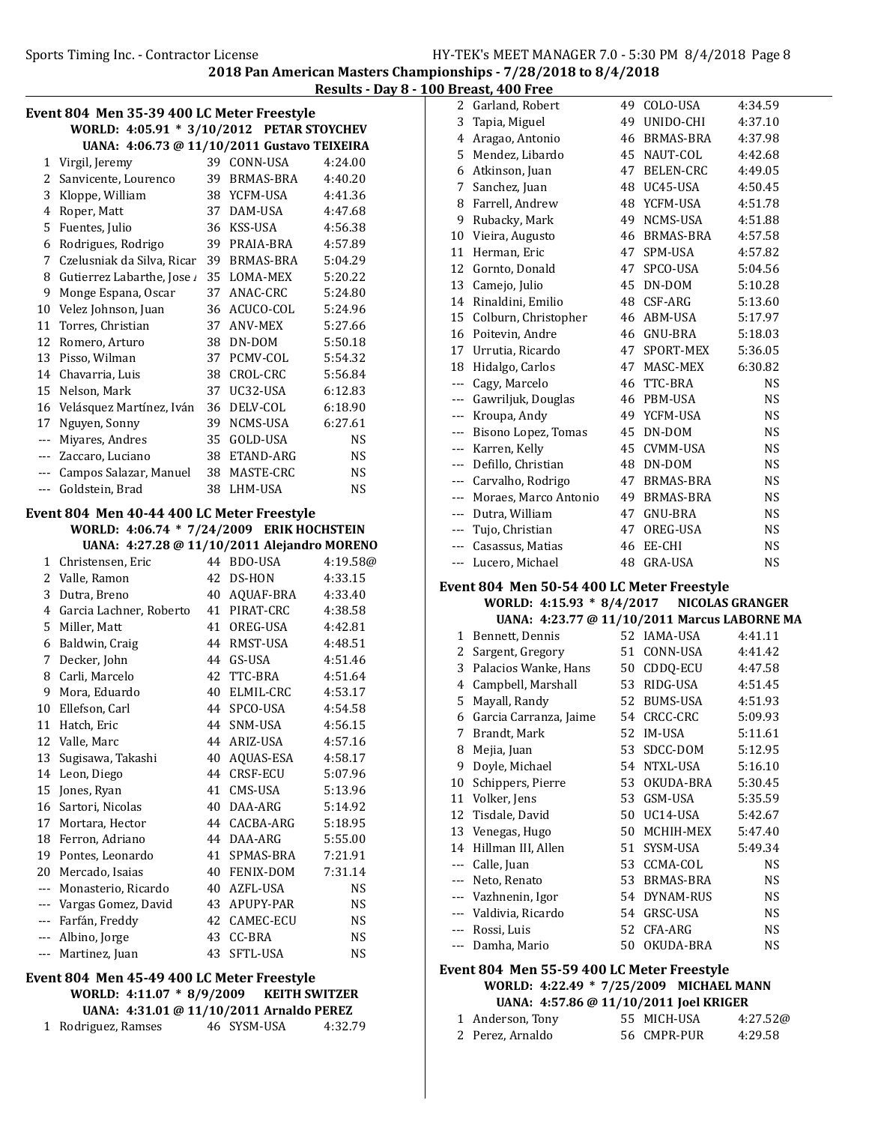2 Garland, Robert 49 COLO-USA 4:34.59 3 Tapia, Miguel 49 UNIDO-CHI 4:37.10

2018 Pan American Masters Championships - 7/28/2018 to 8/4/2018 Results - Day 8 - 100 Breast, 400 Free

|                                            |                                                                                          |    |                             | <u>Results - Day</u> |  |
|--------------------------------------------|------------------------------------------------------------------------------------------|----|-----------------------------|----------------------|--|
| Event 804 Men 35-39 400 LC Meter Freestyle |                                                                                          |    |                             |                      |  |
| WORLD: 4:05.91 * 3/10/2012 PETAR STOYCHEV  |                                                                                          |    |                             |                      |  |
|                                            | UANA: 4:06.73 @ 11/10/2011 Gustavo TEIXEIRA                                              |    |                             |                      |  |
|                                            | 1 Virgil, Jeremy                                                                         |    | 39 CONN-USA                 | 4:24.00              |  |
|                                            | 2 Sanvicente, Lourenco                                                                   |    | 39 BRMAS-BRA                | 4:40.20              |  |
|                                            | 3 Kloppe, William                                                                        |    | 38 YCFM-USA                 | 4:41.36              |  |
| 4                                          | Roper, Matt                                                                              |    | 37 DAM-USA                  | 4:47.68              |  |
|                                            | 5 Fuentes, Julio                                                                         |    | 36 KSS-USA                  | 4:56.38              |  |
|                                            | 6 Rodrigues, Rodrigo                                                                     |    | 39 PRAIA-BRA                | 4:57.89              |  |
|                                            | 7 Czelusniak da Silva, Ricar                                                             |    | 39 BRMAS-BRA                | 5:04.29              |  |
|                                            | 8 Gutierrez Labarthe, Jose                                                               |    | 35 LOMA-MEX                 | 5:20.22              |  |
| 9                                          | Monge Espana, Oscar                                                                      |    | 37 ANAC-CRC                 | 5:24.80              |  |
| 10                                         | Velez Johnson, Juan                                                                      |    | 36 ACUCO-COL                | 5:24.96              |  |
| 11                                         | Torres, Christian                                                                        |    | 37 ANV-MEX                  | 5:27.66              |  |
| 12                                         | Romero, Arturo                                                                           |    | 38 DN-DOM                   | 5:50.18              |  |
| 13                                         | Pisso, Wilman                                                                            |    | 37 PCMV-COL                 | 5:54.32              |  |
|                                            | 14 Chavarria, Luis                                                                       |    | 38 CROL-CRC                 | 5:56.84              |  |
|                                            | 15 Nelson, Mark                                                                          |    | 37 UC32-USA                 | 6:12.83              |  |
|                                            | 16 Velásquez Martínez, Iván                                                              |    | 36 DELV-COL                 | 6:18.90              |  |
|                                            | 17 Nguyen, Sonny                                                                         |    | 39 NCMS-USA                 | 6:27.61              |  |
|                                            | --- Miyares, Andres                                                                      |    | 35 GOLD-USA                 | <b>NS</b>            |  |
|                                            | --- Zaccaro, Luciano                                                                     |    | 38 ETAND-ARG                | <b>NS</b>            |  |
|                                            | --- Campos Salazar, Manuel                                                               |    | 38 MASTE-CRC                | <b>NS</b>            |  |
|                                            | --- Goldstein, Brad                                                                      |    | 38 LHM-USA                  | <b>NS</b>            |  |
|                                            |                                                                                          |    |                             |                      |  |
|                                            | Event 804 Men 40-44 400 LC Meter Freestyle                                               |    |                             |                      |  |
|                                            | WORLD: 4:06.74 * 7/24/2009 ERIK HOCHSTEIN<br>UANA: 4:27.28 @ 11/10/2011 Alejandro MORENO |    |                             |                      |  |
|                                            | 1 Christensen, Eric                                                                      |    | 44 BDO-USA                  | 4:19.58@             |  |
|                                            | 2 Valle, Ramon                                                                           |    | 42 DS-HON                   | 4:33.15              |  |
| 3                                          | Dutra, Breno                                                                             |    | 40 AQUAF-BRA                | 4:33.40              |  |
|                                            | 4 Garcia Lachner, Roberto                                                                |    | 41 PIRAT-CRC                | 4:38.58              |  |
|                                            | 5 Miller, Matt                                                                           |    | 41 OREG-USA                 | 4:42.81              |  |
|                                            | 6 Baldwin, Craig                                                                         |    | 44 RMST-USA                 | 4:48.51              |  |
|                                            | 7 Decker, John                                                                           |    | 44 GS-USA                   | 4:51.46              |  |
|                                            | 8 Carli, Marcelo                                                                         |    | 42 TTC-BRA                  | 4:51.64              |  |
| 9.                                         | Mora, Eduardo                                                                            |    | 40 ELMIL-CRC                | 4:53.17              |  |
| 10 <sup>°</sup>                            | Ellefson, Carl                                                                           |    | 44 SPCO-USA                 | 4:54.58              |  |
|                                            | 11 Hatch, Eric                                                                           |    | 44 SNM-USA                  | 4:56.15              |  |
|                                            | 12 Valle, Marc                                                                           |    | 44 ARIZ-USA                 | 4:57.16              |  |
|                                            | 13 Sugisawa, Takashi                                                                     |    | 40 AQUAS-ESA                | 4:58.17              |  |
|                                            | 14 Leon, Diego                                                                           | 44 | CRSF-ECU                    |                      |  |
|                                            | 15 Jones, Ryan                                                                           | 41 | CMS-USA                     | 5:07.96              |  |
|                                            | 16 Sartori, Nicolas                                                                      | 40 | DAA-ARG                     | 5:13.96<br>5:14.92   |  |
|                                            |                                                                                          |    |                             | 5:18.95              |  |
|                                            | 17 Mortara, Hector                                                                       |    | 44 CACBA-ARG                | 5:55.00              |  |
|                                            | 18 Ferron, Adriano<br>19 Pontes, Leonardo                                                |    | 44 DAA-ARG                  |                      |  |
|                                            |                                                                                          |    | 41 SPMAS-BRA                | 7:21.91              |  |
|                                            | 20 Mercado, Isaias                                                                       |    | 40 FENIX-DOM                | 7:31.14              |  |
|                                            | --- Monasterio, Ricardo                                                                  |    | 40 AZFL-USA<br>43 APUPY-PAR | NS                   |  |
|                                            | --- Vargas Gomez, David                                                                  |    |                             | NS                   |  |
|                                            | --- Farfán, Freddy                                                                       |    | 42 CAMEC-ECU                | NS                   |  |
|                                            | --- Albino, Jorge                                                                        | 43 | CC-BRA                      | NS                   |  |
|                                            | --- Martinez, Juan                                                                       | 43 | SFTL-USA                    | NS                   |  |
|                                            | Event 804 Men 45-49 400 LC Meter Freestyle                                               |    |                             |                      |  |
|                                            | WORLD: 4:11.07 * 8/9/2009 KEITH SWITZER                                                  |    |                             |                      |  |
|                                            | UANA: 4:31.01 @ 11/10/2011 Arnaldo PEREZ                                                 |    |                             |                      |  |
| 1                                          | Rodriguez, Ramses                                                                        |    | 46 SYSM-USA                 | 4:32.79              |  |

| 4              | Aragao, Antonio                                                                         |    | 46 BRMAS-BRA                | 4:37.98            |
|----------------|-----------------------------------------------------------------------------------------|----|-----------------------------|--------------------|
| 5              | Mendez, Libardo                                                                         |    | 45 NAUT-COL                 | 4:42.68            |
| 6              | Atkinson, Juan                                                                          | 47 | <b>BELEN-CRC</b>            | 4:49.05            |
| 7              | Sanchez, Juan                                                                           | 48 | UC45-USA                    | 4:50.45            |
| 8              | Farrell, Andrew                                                                         |    | 48 YCFM-USA                 | 4:51.78            |
| 9              | Rubacky, Mark                                                                           | 49 | NCMS-USA                    | 4:51.88            |
| 10             | Vieira, Augusto                                                                         | 46 | <b>BRMAS-BRA</b>            | 4:57.58            |
| 11             | Herman, Eric                                                                            | 47 | SPM-USA                     | 4:57.82            |
| 12             | Gornto, Donald                                                                          |    | 47 SPCO-USA                 | 5:04.56            |
| 13             | Camejo, Julio                                                                           |    | 45 DN-DOM                   | 5:10.28            |
| 14             | Rinaldini, Emilio                                                                       |    | 48 CSF-ARG                  | 5:13.60            |
| 15             | Colburn, Christopher                                                                    |    | 46 ABM-USA                  | 5:17.97            |
| 16             | Poitevin, Andre                                                                         |    | 46 GNU-BRA                  | 5:18.03            |
| 17             |                                                                                         | 47 | SPORT-MEX                   |                    |
| 18             | Urrutia, Ricardo                                                                        |    |                             | 5:36.05            |
|                | Hidalgo, Carlos                                                                         |    | 47 MASC-MEX                 | 6:30.82            |
| ---            | Cagy, Marcelo                                                                           | 46 | TTC-BRA                     | NS                 |
| ---            | Gawriljuk, Douglas                                                                      |    | 46 PBM-USA                  | <b>NS</b>          |
| $---$          | Kroupa, Andy                                                                            |    | 49 YCFM-USA<br>45 DN-DOM    | NS                 |
| ---            | Bisono Lopez, Tomas                                                                     |    |                             | NS                 |
| $--$           | Karren, Kelly                                                                           |    | 45 CVMM-USA                 | NS                 |
| $--$           | Defillo, Christian                                                                      |    | 48 DN-DOM                   | NS                 |
|                | --- Carvalho, Rodrigo                                                                   |    | 47 BRMAS-BRA                | NS                 |
| ---            | Moraes, Marco Antonio                                                                   |    | 49 BRMAS-BRA                | <b>NS</b>          |
|                | --- Dutra, William                                                                      |    | 47 GNU-BRA                  | NS                 |
| $--$           | Tujo, Christian                                                                         |    | 47 OREG-USA                 | NS                 |
|                | --- Casassus, Matias                                                                    |    | 46 EE-CHI                   | <b>NS</b>          |
|                |                                                                                         |    |                             |                    |
| $\cdots$       | Lucero, Michael                                                                         |    | 48 GRA-USA                  | <b>NS</b>          |
|                |                                                                                         |    |                             |                    |
|                | Event 804 Men 50-54 400 LC Meter Freestyle<br>WORLD: 4:15.93 * 8/4/2017 NICOLAS GRANGER |    |                             |                    |
|                | UANA: 4:23.77 @ 11/10/2011 Marcus LABORNE MA                                            |    |                             |                    |
| 1              | Bennett, Dennis                                                                         |    | 52 IAMA-USA                 | 4:41.11            |
| 2              | Sargent, Gregory                                                                        |    | 51 CONN-USA                 | 4:41.42            |
| 3              | Palacios Wanke, Hans                                                                    |    |                             | 4:47.58            |
| $\overline{4}$ | Campbell, Marshall                                                                      |    | 50 CDDQ-ECU<br>53 RIDG-USA  | 4:51.45            |
| 5              |                                                                                         |    | 52 BUMS-USA                 | 4:51.93            |
| 6              | Mayall, Randy<br>Garcia Carranza, Jaime                                                 |    |                             |                    |
| 7              |                                                                                         |    | 54 CRCC-CRC<br>52 IM-USA    | 5:09.93            |
|                | Brandt, Mark                                                                            |    |                             | 5:11.61<br>5:12.95 |
| 8              | Mejia, Juan                                                                             |    | 53 SDCC-DOM                 |                    |
| 10             | 9 Doyle, Michael                                                                        |    | 54 NTXL-USA<br>53 OKUDA-BRA | 5:16.10<br>5:30.45 |
|                | Schippers, Pierre                                                                       |    | 53 GSM-USA                  | 5:35.59            |
| 12             | 11 Volker, Jens                                                                         |    | 50 UC14-USA                 | 5:42.67            |
|                | Tisdale, David                                                                          |    | 50 MCHIH-MEX                | 5:47.40            |
|                | 13 Venegas, Hugo<br>14 Hillman III, Allen                                               |    | 51 SYSM-USA                 | 5:49.34            |
|                | --- Calle, Juan                                                                         |    | 53 CCMA-COL                 | NS                 |
|                | --- Neto, Renato                                                                        |    | 53 BRMAS-BRA                | NS                 |
|                | --- Vazhnenin, Igor                                                                     |    | 54 DYNAM-RUS                | NS                 |
|                | --- Valdivia, Ricardo                                                                   |    | 54 GRSC-USA                 | NS                 |
|                | --- Rossi, Luis                                                                         |    | 52 CFA-ARG                  | NS                 |
| $\cdots$       | Damha, Mario                                                                            | 50 | OKUDA-BRA                   | NS                 |

WORLD: 4:22.49 \* 7/25/2009 MICHAEL MANN UANA: 4:57.86 @ 11/10/2011 Joel KRIGER

| 1 Anderson, Tony | 55 MICH-USA | 4:27.52@ |
|------------------|-------------|----------|
| 2 Perez, Arnaldo | 56 CMPR-PUR | 4:29.58  |